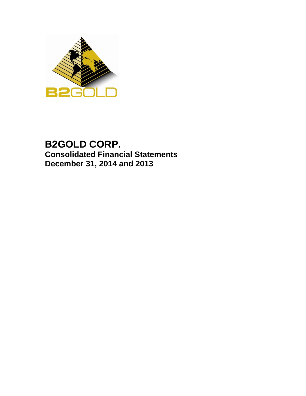

# **B2GOLD CORP. Consolidated Financial Statements December 31, 2014 and 2013**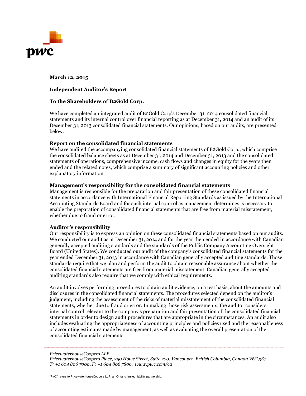

## **March 12, 2015**

### **Independent Auditor's Report**

### **To the Shareholders of B2Gold Corp.**

We have completed an integrated audit of B2Gold Corp's December 31, 2014 consolidated financial statements and its internal control over financial reporting as at December 31, 2014 and an audit of its December 31, 2013 consolidated financial statements. Our opinions, based on our audits, are presented below.

## **Report on the consolidated financial statements**

We have audited the accompanying consolidated financial statements of B2Gold Corp., which comprise the consolidated balance sheets as at December 31, 2014 and December 31, 2013 and the consolidated statements of operations, comprehensive income, cash flows and changes in equity for the years then ended and the related notes, which comprise a summary of significant accounting policies and other explanatory information.

## **Management's responsibility for the consolidated financial statements**

Management is responsible for the preparation and fair presentation of these consolidated financial statements in accordance with International Financial Reporting Standards as issued by the International Accounting Standards Board and for such internal control as management determines is necessary to enable the preparation of consolidated financial statements that are free from material misstatement, whether due to fraud or error.

### **Auditor's responsibility**

Our responsibility is to express an opinion on these consolidated financial statements based on our audits. We conducted our audit as at December 31, 2014 and for the year then ended in accordance with Canadian generally accepted auditing standards and the standards of the Public Company Accounting Oversight Board (United States). We conducted our audit of the company's consolidated financial statements for the year ended December 31, 2013 in accordance with Canadian generally accepted auditing standards. Those standards require that we plan and perform the audit to obtain reasonable assurance about whether the consolidated financial statements are free from material misstatement. Canadian generally accepted auditing standards also require that we comply with ethical requirements.

An audit involves performing procedures to obtain audit evidence, on a test basis, about the amounts and disclosures in the consolidated financial statements. The procedures selected depend on the auditor's judgment, including the assessment of the risks of material misstatement of the consolidated financial statements, whether due to fraud or error. In making those risk assessments, the auditor considers internal control relevant to the company's preparation and fair presentation of the consolidated financial statements in order to design audit procedures that are appropriate in the circumstances. An audit also includes evaluating the appropriateness of accounting principles and policies used and the reasonableness of accounting estimates made by management, as well as evaluating the overall presentation of the consolidated financial statements.

*PricewaterhouseCoopers LLP*

*PricewaterhouseCoopers Place, 250 Howe Street, Suite 700, Vancouver, British Columbia, Canada V6C 3S7 T: +1 604 806 7000, F: +1 604 806 7806, www.pwc.com/ca*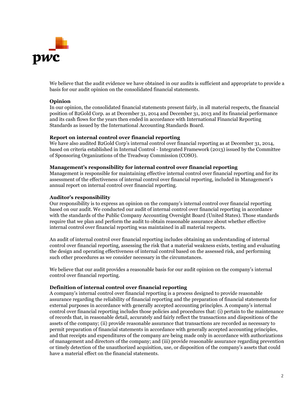

We believe that the audit evidence we have obtained in our audits is sufficient and appropriate to provide a basis for our audit opinion on the consolidated financial statements.

## **Opinion**

In our opinion, the consolidated financial statements present fairly, in all material respects, the financial position of B2Gold Corp. as at December 31, 2014 and December 31, 2013 and its financial performance and its cash flows for the years then ended in accordance with International Financial Reporting Standards as issued by the International Accounting Standards Board.

## **Report on internal control over financial reporting**

We have also audited B2Gold Corp's internal control over financial reporting as at December 31, 2014, based on criteria established in Internal Control - Integrated Framework (2013) issued by the Committee of Sponsoring Organizations of the Treadway Commission (COSO).

## **Management's responsibility for internal control over financial reporting**

Management is responsible for maintaining effective internal control over financial reporting and for its assessment of the effectiveness of internal control over financial reporting, included in Management's annual report on internal control over financial reporting.

### **Auditor's responsibility**

Our responsibility is to express an opinion on the company's internal control over financial reporting based on our audit. We conducted our audit of internal control over financial reporting in accordance with the standards of the Public Company Accounting Oversight Board (United States). Those standards require that we plan and perform the audit to obtain reasonable assurance about whether effective internal control over financial reporting was maintained in all material respects.

An audit of internal control over financial reporting includes obtaining an understanding of internal control over financial reporting, assessing the risk that a material weakness exists, testing and evaluating the design and operating effectiveness of internal control based on the assessed risk, and performing such other procedures as we consider necessary in the circumstances.

We believe that our audit provides a reasonable basis for our audit opinion on the company's internal control over financial reporting.

## **Definition of internal control over financial reporting**

A company's internal control over financial reporting is a process designed to provide reasonable assurance regarding the reliability of financial reporting and the preparation of financial statements for external purposes in accordance with generally accepted accounting principles. A company's internal control over financial reporting includes those policies and procedures that: (i) pertain to the maintenance of records that, in reasonable detail, accurately and fairly reflect the transactions and dispositions of the assets of the company; (ii) provide reasonable assurance that transactions are recorded as necessary to permit preparation of financial statements in accordance with generally accepted accounting principles, and that receipts and expenditures of the company are being made only in accordance with authorizations of management and directors of the company; and (iii) provide reasonable assurance regarding prevention or timely detection of the unauthorized acquisition, use, or disposition of the company's assets that could have a material effect on the financial statements.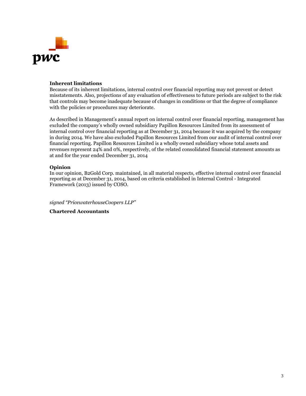

## **Inherent limitations**

Because of its inherent limitations, internal control over financial reporting may not prevent or detect misstatements. Also, projections of any evaluation of effectiveness to future periods are subject to the risk that controls may become inadequate because of changes in conditions or that the degree of compliance with the policies or procedures may deteriorate.

As described in Management's annual report on internal control over financial reporting, management has excluded the company's wholly owned subsidiary Papillon Resources Limited from its assessment of internal control over financial reporting as at December 31, 2014 because it was acquired by the company in during 2014. We have also excluded Papillon Resources Limited from our audit of internal control over financial reporting. Papillon Resources Limited is a wholly owned subsidiary whose total assets and revenues represent 24% and 0%, respectively, of the related consolidated financial statement amounts as at and for the year ended December 31, 2014

## **Opinion**

In our opinion, B2Gold Corp. maintained, in all material respects, effective internal control over financial reporting as at December 31, 2014, based on criteria established in Internal Control - Integrated Framework (2013) issued by COSO.

*signed "PricewaterhouseCoopers LLP"*

**Chartered Accountants**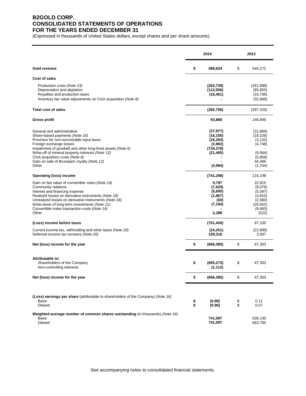## **B2GOLD CORP. CONSOLIDATED STATEMENTS OF OPERATIONS FOR THE YEARS ENDED DECEMBER 31**

(Expressed in thousands of United States dollars, except shares and per share amounts)

|                                                                                                                                                                                                                                                                                                                                                    |          | 2014                                                                                 | 2013     |                                                                                           |  |  |
|----------------------------------------------------------------------------------------------------------------------------------------------------------------------------------------------------------------------------------------------------------------------------------------------------------------------------------------------------|----------|--------------------------------------------------------------------------------------|----------|-------------------------------------------------------------------------------------------|--|--|
| Gold revenue                                                                                                                                                                                                                                                                                                                                       | \$       | 486,624                                                                              | \$       | 544,272                                                                                   |  |  |
| Cost of sales                                                                                                                                                                                                                                                                                                                                      |          |                                                                                      |          |                                                                                           |  |  |
| Production costs (Note 23)<br>Depreciation and depletion<br>Royalties and production taxes<br>Inventory fair value adjustments on CGA acquisition (Note 8)                                                                                                                                                                                         |          | (263, 739)<br>(112, 556)<br>(16, 461)                                                |          | (261, 896)<br>(85, 855)<br>(16,706)<br>(32, 869)                                          |  |  |
| <b>Total cost of sales</b>                                                                                                                                                                                                                                                                                                                         |          | (392, 756)                                                                           |          | (397, 326)                                                                                |  |  |
| Gross profit                                                                                                                                                                                                                                                                                                                                       |          | 93,868                                                                               |          | 146,946                                                                                   |  |  |
| General and administrative<br>Share-based payments (Note 16)<br>Provision for non-recoverable input taxes<br>Foreign exchange losses<br>Impairment of goodwill and other long-lived assets (Note 6)<br>Write-off of mineral property interests (Note 12)<br>CGA acquisition costs (Note 8)<br>Gain on sale of Brucejack royalty (Note 12)<br>Other |          | (37, 977)<br>(16, 105)<br>(16, 264)<br>(3,983)<br>(734, 378)<br>(21, 465)<br>(4,994) |          | (31, 869)<br>(18, 328)<br>(3, 132)<br>(4,748)<br>(9, 564)<br>(5,859)<br>44,496<br>(1,744) |  |  |
| Operating (loss) income                                                                                                                                                                                                                                                                                                                            |          | (741,298)                                                                            |          | 116,198                                                                                   |  |  |
| Gain on fair value of convertible notes (Note 14)<br>Community relations<br>Interest and financing expense<br>Realized losses on derivative instruments (Note 18)<br>Unrealized losses on derivative instruments (Note 18)<br>Write-down of long-term investments (Note 11)<br>Convertible notes transaction costs (Note 14)<br>Other              |          | 9,797<br>(7, 529)<br>(5,695)<br>(1,867)<br>(50)<br>(7, 194)<br>2,386                 |          | 22,815<br>(8,079)<br>(5, 597)<br>(4, 815)<br>(2,660)<br>(20, 552)<br>(9,683)<br>(522)     |  |  |
| (Loss) income before taxes                                                                                                                                                                                                                                                                                                                         |          | (751, 450)                                                                           |          | 87,105                                                                                    |  |  |
| Current income tax, withholding and other taxes (Note 20)<br>Deferred income tax recovery (Note 20)                                                                                                                                                                                                                                                |          | (24, 251)<br>109,316                                                                 |          | (22, 899)<br>3,097                                                                        |  |  |
| Net (loss) income for the year                                                                                                                                                                                                                                                                                                                     | \$       | (666, 385)                                                                           | \$       | 67,303                                                                                    |  |  |
| Attributable to:<br>Shareholders of the Company<br>Non-controlling interests                                                                                                                                                                                                                                                                       | \$       | (665, 273)<br>(1, 112)                                                               | \$       | 67,303                                                                                    |  |  |
| Net (loss) income for the year                                                                                                                                                                                                                                                                                                                     | \$       | (666, 385)                                                                           | \$       | 67,303                                                                                    |  |  |
| (Loss) earnings per share (attributable to shareholders of the Company) (Note 16)<br>Basic<br><b>Diluted</b><br>Weighted average number of common shares outstanding (in thousands) (Note 16)                                                                                                                                                      | \$<br>\$ | (0.90)<br>(0.90)                                                                     | \$<br>\$ | 0.11<br>0.07                                                                              |  |  |
| Basic<br>Diluted                                                                                                                                                                                                                                                                                                                                   |          | 741,097<br>741,097                                                                   |          | 636,130<br>663,785                                                                        |  |  |

See accompanying notes to consolidated financial statements.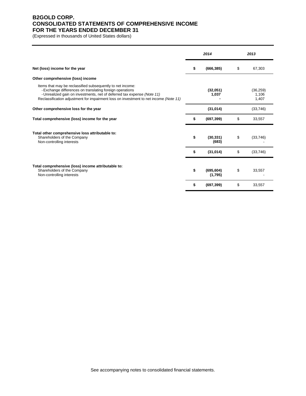## **B2GOLD CORP. CONSOLIDATED STATEMENTS OF COMPREHENSIVE INCOME FOR THE YEARS ENDED DECEMBER 31**

(Expressed in thousands of United States dollars)

|                                                                                                                                                                                                                                                                                            | 2014                        | 2013                        |
|--------------------------------------------------------------------------------------------------------------------------------------------------------------------------------------------------------------------------------------------------------------------------------------------|-----------------------------|-----------------------------|
| Net (loss) income for the year                                                                                                                                                                                                                                                             | \$<br>(666, 385)            | \$<br>67,303                |
| Other comprehensive (loss) income                                                                                                                                                                                                                                                          |                             |                             |
| Items that may be reclassified subsequently to net income:<br>- Exchange differences on translating foreign operations<br>- Unrealized gain on investments, net of deferred tax expense (Note 11)<br>Reclassification adjustment for impairment loss on investment to net income (Note 11) | (32,051)<br>1,037           | (36, 259)<br>1.106<br>1,407 |
| Other comprehensive loss for the year                                                                                                                                                                                                                                                      | (31, 014)                   | (33, 746)                   |
| Total comprehensive (loss) income for the year                                                                                                                                                                                                                                             | \$<br>(697, 399)            | \$<br>33,557                |
| Total other comprehensive loss attributable to:<br>Shareholders of the Company<br>Non-controlling interests                                                                                                                                                                                | \$<br>(30, 331)<br>(683)    | \$<br>(33,746)              |
|                                                                                                                                                                                                                                                                                            | \$<br>(31, 014)             | \$<br>(33,746)              |
| Total comprehensive (loss) income attributable to:<br>Shareholders of the Company<br>Non-controlling interests                                                                                                                                                                             | \$<br>(695, 604)<br>(1,795) | \$<br>33,557                |
|                                                                                                                                                                                                                                                                                            | \$<br>(697, 399)            | \$<br>33,557                |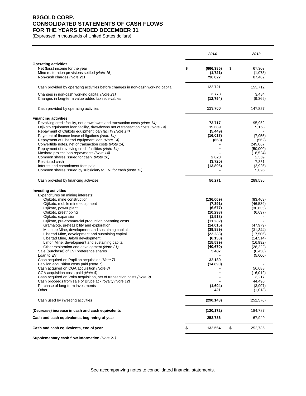## **B2GOLD CORP. CONSOLIDATED STATEMENTS OF CASH FLOWS FOR THE YEARS ENDED DECEMBER 31**

(Expressed in thousands of United States dollars)

|                                                                                                                                                                                                                                                                                                                                                                                                                                                                                                                                                                                                                                                                                                                                                                                                                                                                                                                                                                                               | 2014                                                                                                                                                                                                  | 2013                                                                                                                                                                                                               |
|-----------------------------------------------------------------------------------------------------------------------------------------------------------------------------------------------------------------------------------------------------------------------------------------------------------------------------------------------------------------------------------------------------------------------------------------------------------------------------------------------------------------------------------------------------------------------------------------------------------------------------------------------------------------------------------------------------------------------------------------------------------------------------------------------------------------------------------------------------------------------------------------------------------------------------------------------------------------------------------------------|-------------------------------------------------------------------------------------------------------------------------------------------------------------------------------------------------------|--------------------------------------------------------------------------------------------------------------------------------------------------------------------------------------------------------------------|
| <b>Operating activities</b><br>Net (loss) income for the year<br>Mine restoration provisions settled (Note 15)<br>Non-cash charges (Note 21)                                                                                                                                                                                                                                                                                                                                                                                                                                                                                                                                                                                                                                                                                                                                                                                                                                                  | \$<br>\$<br>(666,385)<br>(1,721)<br>790,827                                                                                                                                                           | 67,303<br>(1,073)<br>87,482                                                                                                                                                                                        |
| Cash provided by operating activities before changes in non-cash working capital                                                                                                                                                                                                                                                                                                                                                                                                                                                                                                                                                                                                                                                                                                                                                                                                                                                                                                              | 122,721                                                                                                                                                                                               | 153,712                                                                                                                                                                                                            |
| Changes in non-cash working capital (Note 21)<br>Changes in long-term value added tax receivables                                                                                                                                                                                                                                                                                                                                                                                                                                                                                                                                                                                                                                                                                                                                                                                                                                                                                             | 3,773<br>(12,794)                                                                                                                                                                                     | 3,484<br>(9,369)                                                                                                                                                                                                   |
| Cash provided by operating activities                                                                                                                                                                                                                                                                                                                                                                                                                                                                                                                                                                                                                                                                                                                                                                                                                                                                                                                                                         | 113,700                                                                                                                                                                                               | 147,827                                                                                                                                                                                                            |
| <b>Financing activities</b><br>Revolving credit facility, net drawdowns and transaction costs (Note 14)<br>Otjikoto equipment loan facility, drawdowns net of transaction costs (Note 14)<br>Repayment of Otjikoto equipment loan facility (Note 14)<br>Payment of finance lease obligations (Note 14)<br>Repayment of Libertad equipment loan (Note 14)<br>Convertible notes, net of transaction costs (Note 14)<br>Repayment of revolving credit facilities (Note 14)<br>Masbate project loan repayments (Note 14)<br>Common shares issued for cash (Note 16)<br>Restricted cash<br>Interest and commitment fees paid<br>Common shares issued by subsidiary to EVI for cash (Note 12)                                                                                                                                                                                                                                                                                                       | 73,717<br>19,689<br>(5, 449)<br>(16, 017)<br>(868)<br>2,820<br>(3,725)<br>(13,896)                                                                                                                    | 95,952<br>9,168<br>(7, 955)<br>(562)<br>249,067<br>(50,000)<br>(18, 524)<br>2,369<br>7,851<br>(2,925)<br>5,095                                                                                                     |
| Cash provided by financing activities                                                                                                                                                                                                                                                                                                                                                                                                                                                                                                                                                                                                                                                                                                                                                                                                                                                                                                                                                         | 56,271                                                                                                                                                                                                | 289,536                                                                                                                                                                                                            |
| <b>Investing activities</b><br>Expenditures on mining interests:<br>Otjikoto, mine construction<br>Otjikoto, mobile mine equipment<br>Otjikoto, power plant<br>Otjikoto, prestripping<br>Otjikoto, expansion<br>Otjikoto, pre-commercial production operating costs<br>Gramalote, prefeasibility and exploration<br>Masbate Mine, development and sustaining capital<br>Libertad Mine, development and sustaining capital<br>Libertad Mine, Jabali development<br>Limon Mine, development and sustaining capital<br>Other exploration and development (Note 21)<br>Sale (purchase) of EVI preference shares<br>Loan to EVI<br>Cash acquired on Papillon acquisition (Note 7)<br>Papillon acquisition costs paid (Note 7)<br>Cash acquired on CGA acquisition (Note 8)<br>CGA acquisition costs paid (Note 8)<br>Cash acquired on Volta acquisition, net of transaction costs (Note 9)<br>Cash proceeds from sale of Brucejack royalty (Note 12)<br>Purchase of long-term investments<br>Other | (136,069)<br>(7, 391)<br>(6, 677)<br>(10, 293)<br>(1,518)<br>(11, 232)<br>(14, 015)<br>(39, 889)<br>(22, 233)<br>(6, 130)<br>(15, 539)<br>(40, 670)<br>5,487<br>32,189<br>(14, 890)<br>(1,694)<br>421 | (83, 469)<br>(46, 539)<br>(30, 635)<br>(6,697)<br>(47, 979)<br>(31, 344)<br>(17,506)<br>(14, 514)<br>(16, 992)<br>(28, 222)<br>(6, 458)<br>(5,000)<br>56,088<br>(16, 012)<br>3,217<br>44,496<br>(3,997)<br>(1,013) |
| Cash used by investing activities                                                                                                                                                                                                                                                                                                                                                                                                                                                                                                                                                                                                                                                                                                                                                                                                                                                                                                                                                             | (290, 143)                                                                                                                                                                                            | (252, 576)                                                                                                                                                                                                         |
| (Decrease) increase in cash and cash equivalents                                                                                                                                                                                                                                                                                                                                                                                                                                                                                                                                                                                                                                                                                                                                                                                                                                                                                                                                              | (120, 172)                                                                                                                                                                                            | 184,787                                                                                                                                                                                                            |
| Cash and cash equivalents, beginning of year                                                                                                                                                                                                                                                                                                                                                                                                                                                                                                                                                                                                                                                                                                                                                                                                                                                                                                                                                  | 252,736                                                                                                                                                                                               | 67,949                                                                                                                                                                                                             |
| Cash and cash equivalents, end of year                                                                                                                                                                                                                                                                                                                                                                                                                                                                                                                                                                                                                                                                                                                                                                                                                                                                                                                                                        | \$<br>132,564<br>\$                                                                                                                                                                                   | 252,736                                                                                                                                                                                                            |

**Supplementary cash flow information** *(Note 21)*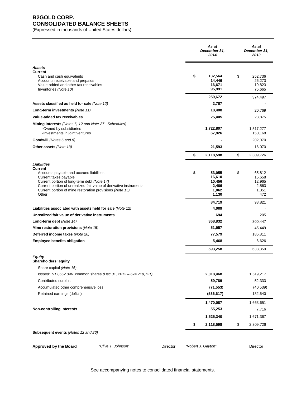## **B2GOLD CORP. CONSOLIDATED BALANCE SHEETS**

(Expressed in thousands of United States dollars)

|                                                                                                                                                                                                                                                                                       | As at<br>December 31,<br>2014                               | As at<br>December 31,<br>2013                             |
|---------------------------------------------------------------------------------------------------------------------------------------------------------------------------------------------------------------------------------------------------------------------------------------|-------------------------------------------------------------|-----------------------------------------------------------|
| Assets<br>Current<br>Cash and cash equivalents<br>Accounts receivable and prepaids<br>Value-added and other tax receivables<br>Inventories (Note 10)                                                                                                                                  | \$<br>132,564<br>14,446<br>16,671<br>95,991                 | \$<br>252,736<br>26,273<br>19,823<br>75,665               |
|                                                                                                                                                                                                                                                                                       | 259,672                                                     | 374,497                                                   |
| Assets classified as held for sale (Note 12)                                                                                                                                                                                                                                          | 2,787                                                       |                                                           |
| Long-term investments (Note 11)                                                                                                                                                                                                                                                       | 18,408                                                      | 20,769                                                    |
| Value-added tax receivables                                                                                                                                                                                                                                                           | 25,405                                                      | 28,875                                                    |
| <b>Mining interests</b> (Notes 6, 12 and Note 27 - Schedules)<br>- Owned by subsidiaries<br>- Investments in joint ventures                                                                                                                                                           | 1,722,807<br>67,926                                         | 1,517,277<br>150,168                                      |
| Goodwill (Notes 6 and 8)                                                                                                                                                                                                                                                              |                                                             | 202,070                                                   |
| <b>Other assets (Note 13)</b>                                                                                                                                                                                                                                                         | 21,593                                                      | 16,070                                                    |
|                                                                                                                                                                                                                                                                                       | \$<br>2,118,598                                             | \$<br>2,309,726                                           |
| Liabilities<br>Current<br>Accounts payable and accrued liabilities<br>Current taxes payable<br>Current portion of long-term debt (Note 14)<br>Current portion of unrealized fair value of derivative instruments<br>Current portion of mine restoration provisions (Note 15)<br>Other | \$<br>53,055<br>16,610<br>10,456<br>2,406<br>1,062<br>1,130 | \$<br>65,812<br>15,658<br>12,965<br>2,563<br>1,351<br>472 |
|                                                                                                                                                                                                                                                                                       | 84,719                                                      | 98,821                                                    |
| Liabilities associated with assets held for sale (Note 12)                                                                                                                                                                                                                            | 4,009                                                       |                                                           |
| Unrealized fair value of derivative instruments                                                                                                                                                                                                                                       | 694                                                         | 205                                                       |
| Long-term debt (Note 14)                                                                                                                                                                                                                                                              | 368,832                                                     | 300,447                                                   |
| Mine restoration provisions (Note 15)                                                                                                                                                                                                                                                 | 51,957                                                      | 45,449                                                    |
| Deferred income taxes (Note 20)<br><b>Employee benefits obligation</b>                                                                                                                                                                                                                | 77,579<br>5,468                                             | 186,811                                                   |
|                                                                                                                                                                                                                                                                                       |                                                             | 6,626                                                     |
| Equity<br>Shareholders' equity<br>Share capital (Note 16)                                                                                                                                                                                                                             | 593,258                                                     | 638,359                                                   |
| Issued: 917,652,046 common shares (Dec 31, 2013 - 674,719,721)                                                                                                                                                                                                                        | 2,018,468                                                   | 1,519,217                                                 |
| Contributed surplus                                                                                                                                                                                                                                                                   | 59,789                                                      | 52,333                                                    |
| Accumulated other comprehensive loss                                                                                                                                                                                                                                                  | (71, 553)                                                   | (40, 539)                                                 |
| Retained earnings (deficit)                                                                                                                                                                                                                                                           | (536, 617)                                                  | 132,640                                                   |
|                                                                                                                                                                                                                                                                                       | 1,470,087                                                   | 1,663,651                                                 |
| Non-controlling interests                                                                                                                                                                                                                                                             | 55,253                                                      | 7,716                                                     |
|                                                                                                                                                                                                                                                                                       | 1,525,340                                                   | 1,671,367                                                 |
|                                                                                                                                                                                                                                                                                       | \$<br>2,118,598                                             | \$<br>2,309,726                                           |
| Subsequent events (Notes 12 and 26)<br><b>Approved by the Board</b><br>"Clive T. Johnson"<br>Director                                                                                                                                                                                 | "Robert J. Gayton"                                          | Director                                                  |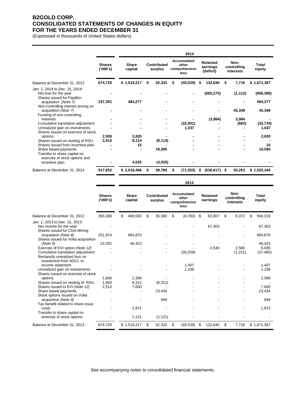## **B2GOLD CORP. CONSOLIDATED STATEMENTS OF CHANGES IN EQUITY FOR THE YEARS ENDED DECEMBER 31**

(Expressed in thousands of United States dollars)

|                                                               |                           |                         |                        | 2014                                          |                                          |                                  |                        |
|---------------------------------------------------------------|---------------------------|-------------------------|------------------------|-----------------------------------------------|------------------------------------------|----------------------------------|------------------------|
|                                                               | <b>Shares</b><br>('000's) | <b>Share</b><br>capital | Contributed<br>surplus | Accumulated<br>other<br>comprehensive<br>loss | <b>Retained</b><br>earnings<br>(deficit) | Non-<br>controlling<br>interests | <b>Total</b><br>equity |
| Balance at December 31, 2013                                  | 674,720                   | \$1,519,217             | 52,333<br>S            | (40,539)<br>S                                 | 132,640<br>-5                            | 7,716<br>S.                      | \$1,671,367            |
| Jan. 1, 2014 to Dec. 31, 2014:                                |                           |                         |                        |                                               |                                          |                                  |                        |
| Net loss for the year                                         |                           |                         |                        |                                               | (665, 273)                               | (1, 112)                         | (666, 385)             |
| Shares issued for Papillon                                    |                           |                         |                        |                                               |                                          |                                  |                        |
| acquisition (Note 7)                                          | 237,391                   | 484,277                 |                        |                                               |                                          |                                  | 484,277                |
| Non-controlling interest arising on<br>acquisition (Note 7)   |                           |                         |                        |                                               |                                          | 45,348                           | 45,348                 |
| Funding of non-controlling                                    |                           |                         |                        |                                               |                                          |                                  |                        |
| interests                                                     |                           |                         |                        |                                               | (3,984)                                  | 3,984                            |                        |
| Cumulative translation adjustment                             |                           |                         |                        | (32,051)                                      |                                          | (683)                            | (32, 734)              |
| Unrealized gain on investments                                |                           |                         |                        | 1,037                                         |                                          |                                  | 1,037                  |
| Shares issued on exercise of stock<br>options                 | 2.926                     | 2,820                   |                        |                                               |                                          |                                  | 2,820                  |
| Shares issued on vesting of RSU                               | 2,615                     | 8.114                   | (8, 114)               |                                               |                                          |                                  |                        |
| Shares issued from incentive plan                             |                           | 15                      |                        |                                               |                                          |                                  | 15                     |
| Share based payments                                          |                           |                         | 19,595                 |                                               |                                          |                                  | 19,595                 |
| Transfer to share capital on<br>exercise of stock options and |                           |                         |                        |                                               |                                          |                                  |                        |
| incentive plan                                                |                           | 4,025                   | (4,025)                |                                               |                                          |                                  |                        |
| Balance at December 31, 2014                                  | 917,652                   | \$2,018,468             | 59,789<br>S.           | (71, 553)<br>S                                | $(536, 617)$ \$<br>S                     | 55,253                           | \$1,525,340            |

**2013**

|                                                                                               | <b>Shares</b><br>('000's) | <b>Share</b><br>capital | Contributed<br>surplus | Accumulated<br>other<br>comprehensive<br>loss |      | <b>Retained</b><br>earnings | Non-<br>controlling<br>interests | <b>Total</b><br>equity |
|-----------------------------------------------------------------------------------------------|---------------------------|-------------------------|------------------------|-----------------------------------------------|------|-----------------------------|----------------------------------|------------------------|
| Balance at December 31, 2012                                                                  | 393,308                   | \$<br>468,550           | \$<br>35,383           | \$<br>(6, 793)                                | - \$ | 62,807                      | \$<br>6,372                      | \$<br>566,319          |
| Jan. 1, 2013 to Dec. 31, 2013:<br>Net income for the year<br>Shares issued for CGA Mining     |                           |                         |                        |                                               |      | 67,303                      |                                  | 67,303                 |
| acquisition (Note 8)<br>Shares issued for Volta acquisition                                   | 251,974                   | 984,870                 |                        |                                               |      |                             |                                  | 984,870                |
| (Note 9)                                                                                      | 23,332                    | 46,423                  |                        |                                               |      |                             |                                  | 46,423                 |
| Exercise of EVI option (Note 12)                                                              |                           |                         |                        |                                               |      | 2,530                       | 2,565                            | 5,095                  |
| Cumulative translation adjustment<br>Reclassify unrealized loss on<br>investment from AOCL to |                           |                         |                        | (36, 259)                                     |      |                             | (1,221)                          | (37, 480)              |
| income statement                                                                              |                           |                         |                        | 1,407                                         |      |                             |                                  | 1,407                  |
| Unrealized gain on investments                                                                |                           |                         |                        | 1,106                                         |      |                             |                                  | 1,106                  |
| Shares issued on exercise of stock                                                            |                           |                         |                        |                                               |      |                             |                                  |                        |
| options                                                                                       | 1,600                     | 2,369                   |                        |                                               |      |                             |                                  | 2,369                  |
| Shares issued on vesting of RSU                                                               | 1,993                     | 6,312                   | (6, 312)               |                                               |      |                             |                                  |                        |
| Shares issued to EVI (Note 12)                                                                | 2,513                     | 7,600                   |                        |                                               |      |                             |                                  | 7,600                  |
| Share based payments                                                                          |                           |                         | 23,434                 |                                               |      |                             |                                  | 23,434                 |
| Stock options issued on Volta                                                                 |                           |                         |                        |                                               |      |                             |                                  |                        |
| acquisition (Note 9)                                                                          |                           |                         | 949                    |                                               |      |                             |                                  | 949                    |
| Tax benefit related to share issue                                                            |                           |                         |                        |                                               |      |                             |                                  |                        |
| costs                                                                                         |                           | 1.972                   |                        |                                               |      |                             |                                  | 1,972                  |
| Transfer to share capital on                                                                  |                           |                         |                        |                                               |      |                             |                                  |                        |
| exercise of stock options                                                                     |                           | 1,121                   | (1, 121)               |                                               |      |                             |                                  |                        |
| Balance at December 31, 2013                                                                  | 674,720                   | \$1,519,217             | \$<br>52,333           | \$<br>(40, 539)                               | \$   | 132,640                     | \$<br>7,716                      | \$1,671,367            |

See accompanying notes to consolidated financial statements.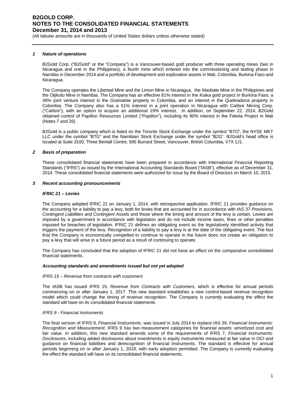(All tabular amounts are in thousands of United States dollars unless otherwise stated)

### *1 Nature of operations*

B2Gold Corp. ("B2Gold" or the "Company") is a Vancouver-based gold producer with three operating mines (two in Nicaragua and one in the Philippines), a fourth mine which entered into the commissioning and testing phase in Namibia in December 2014 and a portfolio of development and exploration assets in Mali, Colombia, Burkina Faso and Nicaragua.

The Company operates the Libertad Mine and the Limon Mine in Nicaragua, the Masbate Mine in the Philippines and the Otjikoto Mine in Namibia. The Company has an effective 81% interest in the Kiaka gold project in Burkina Faso, a 49% joint venture interest in the Gramalote property in Colombia, and an interest in the Quebradona property in Colombia. The Company also has a 51% interest in a joint operation in Nicaragua with Calibre Mining Corp. ("Calibre"), with an option to acquire an additional 19% interest. In addition, on September 22, 2014, B2Gold obtained control of Papillon Resources Limited ("Papillon"), including its 90% interest in the Fekola Project in Mali (Notes 7 and 26).

B2Gold is a public company which is listed on the Toronto Stock Exchange under the symbol "BTO", the NYSE MKT LLC under the symbol "BTG" and the Namibian Stock Exchange under the symbol "B2G". B2Gold's head office is located at Suite 3100, Three Bentall Centre, 595 Burrard Street, Vancouver, British Columbia, V7X 1J1.

### *2 Basis of preparation*

These consolidated financial statements have been prepared in accordance with International Financial Reporting Standards ("IFRS") as issued by the International Accounting Standards Board ("IASB"), effective as of December 31, 2014. These consolidated financial statements were authorized for issue by the Board of Directors on March 10, 2015.

### *3 Recent accounting pronouncements*

### *IFRIC 21 – Levies*

The Company adopted IFRIC 21 on January 1, 2014, with retrospective application. IFRIC 21 provides guidance on the accounting for a liability to pay a levy, both for levies that are accounted for in accordance with IAS 37 *Provisions, Contingent Liabilities and Contingent Assets* and those where the timing and amount of the levy is certain. Levies are imposed by a government in accordance with legislation and do not include income taxes, fines or other penalties imposed for breaches of legislation. IFRIC 21 defines an obligating event as the legislatively identified activity that triggers the payment of the levy. Recognition of a liability to pay a levy is at the date of the obligating event. The fact that the Company is economically compelled to continue to operate in the future does not create an obligation to pay a levy that will arise in a future period as a result of continuing to operate.

The Company has concluded that the adoption of IFRIC 21 did not have an effect on the comparative consolidated financial statements.

#### *Accounting standards and amendments issued but not yet adopted*

#### *IFRS 15 – Revenue from contracts with customers*

The IASB has issued IFRS 15, *Revenue from Contracts with Customers*, which is effective for annual periods commencing on or after January 1, 2017. This new standard establishes a new control-based revenue recognition model which could change the timing of revenue recognition. The Company is currently evaluating the effect the standard will have on its consolidated financial statements.

### *IFRS 9 - Financial Instruments*

The final version of IFRS 9, *Financial Instruments*, was issued in July 2014 to replace IAS 39, *Financial Instruments: Recognition and Measurement*. IFRS 9 has two measurement categories for financial assets: amortized cost and fair value. In addition, this new standard amends some of the requirements of IFRS 7, *Financial Instruments: Disclosures*, including added disclosures about investments in equity instruments measured at fair value in OCI and guidance on financial liabilities and derecognition of financial instruments. The standard is effective for annual periods beginning on or after January 1, 2018, with early adoption permitted. The Company is currently evaluating the effect the standard will have on its consolidated financial statements.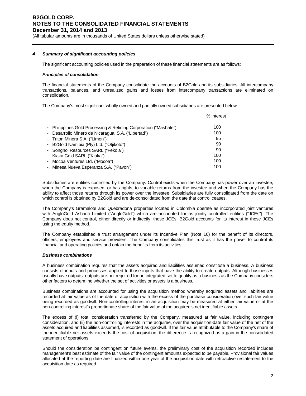(All tabular amounts are in thousands of United States dollars unless otherwise stated)

### *4 Summary of significant accounting policies*

The significant accounting policies used in the preparation of these financial statements are as follows:

#### *Principles of consolidation*

The financial statements of the Company consolidate the accounts of B2Gold and its subsidiaries. All intercompany transactions, balances, and unrealized gains and losses from intercompany transactions are eliminated on consolidation.

The Company's most significant wholly owned and partially owned subsidiaries are presented below:

|                                                                  | % interest |
|------------------------------------------------------------------|------------|
| - Philippines Gold Processing & Refining Corporation ("Masbate") | 100        |
| - Desarrollo Minero de Nicaragua, S.A. ("Libertad")              | 100        |
| - Triton Minera S.A. ("Limon")                                   | 95         |
| - B2Gold Namibia (Pty) Ltd. ("Otiikoto")                         | 90         |
| - Songhoi Resources SARL ("Fekola")                              | 90         |
| - Kiaka Gold SARL ("Kiaka")                                      | 100        |
| - Mocoa Ventures Ltd. ("Mocoa")                                  | 100        |
| - Minesa Nueva Esperanza S.A. ("Pavon")                          | 100        |

Subsidiaries are entities controlled by the Company. Control exists when the Company has power over an investee, when the Company is exposed, or has rights, to variable returns from the investee and when the Company has the ability to affect those returns through its power over the investee. Subsidiaries are fully consolidated from the date on which control is obtained by B2Gold and are de-consolidated from the date that control ceases.

The Company's Gramalote and Quebradona properties located in Colombia operate as incorporated joint ventures with AngloGold Ashanti Limited ("AngloGold") which are accounted for as jointly controlled entities ("JCEs"). The Company does not control, either directly or indirectly, these JCEs. B2Gold accounts for its interest in these JCEs using the equity method.

The Company established a trust arrangement under its Incentive Plan (Note 16) for the benefit of its directors, officers, employees and service providers. The Company consolidates this trust as it has the power to control its financial and operating policies and obtain the benefits from its activities.

#### *Business combinations*

A business combination requires that the assets acquired and liabilities assumed constitute a business. A business consists of inputs and processes applied to those inputs that have the ability to create outputs. Although businesses usually have outputs, outputs are not required for an integrated set to qualify as a business as the Company considers other factors to determine whether the set of activities or assets is a business.

Business combinations are accounted for using the acquisition method whereby acquired assets and liabilities are recorded at fair value as of the date of acquisition with the excess of the purchase consideration over such fair value being recorded as goodwill. Non-controlling interest in an acquisition may be measured at either fair value or at the non-controlling interest's proportionate share of the fair value of the acquiree's net identifiable assets.

The excess of (i) total consideration transferred by the Company, measured at fair value, including contingent consideration, and (ii) the non-controlling interests in the acquiree, over the acquisition-date fair value of the net of the assets acquired and liabilities assumed, is recorded as goodwill. If the fair value attributable to the Company's share of the identifiable net assets exceeds the cost of acquisition, the difference is recognized as a gain in the consolidated statement of operations.

Should the consideration be contingent on future events, the preliminary cost of the acquisition recorded includes management's best estimate of the fair value of the contingent amounts expected to be payable. Provisional fair values allocated at the reporting date are finalized within one year of the acquisition date with retroactive restatement to the acquisition date as required.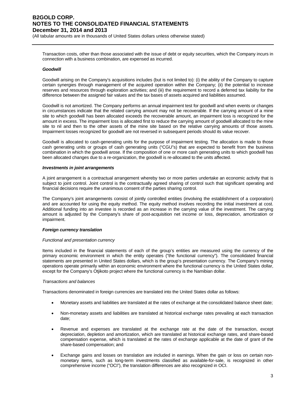(All tabular amounts are in thousands of United States dollars unless otherwise stated)

Transaction costs, other than those associated with the issue of debt or equity securities, which the Company incurs in connection with a business combination, are expensed as incurred.

### *Goodwill*

Goodwill arising on the Company's acquisitions includes (but is not limited to): (i) the ability of the Company to capture certain synergies through management of the acquired operation within the Company; (ii) the potential to increase reserves and resources through exploration activities; and (iii) the requirement to record a deferred tax liability for the difference between the assigned fair values and the tax bases of assets acquired and liabilities assumed.

Goodwill is not amortized. The Company performs an annual impairment test for goodwill and when events or changes in circumstances indicate that the related carrying amount may not be recoverable. If the carrying amount of a mine site to which goodwill has been allocated exceeds the recoverable amount, an impairment loss is recognized for the amount in excess. The impairment loss is allocated first to reduce the carrying amount of goodwill allocated to the mine site to nil and then to the other assets of the mine site based on the relative carrying amounts of those assets. Impairment losses recognized for goodwill are not reversed in subsequent periods should its value recover.

Goodwill is allocated to cash-generating units for the purpose of impairment testing. The allocation is made to those cash generating units or groups of cash generating units ("CGU"s) that are expected to benefit from the business combination in which the goodwill arose. If the composition of one or more cash generating units to which goodwill has been allocated changes due to a re-organization, the goodwill is re-allocated to the units affected.

### *Investments in joint arrangements*

A joint arrangement is a contractual arrangement whereby two or more parties undertake an economic activity that is subject to joint control. Joint control is the contractually agreed sharing of control such that significant operating and financial decisions require the unanimous consent of the parties sharing control.

The Company's joint arrangements consist of jointly controlled entities (involving the establishment of a corporation) and are accounted for using the equity method. The equity method involves recording the initial investment at cost. Additional funding into an investee is recorded as an increase in the carrying value of the investment. The carrying amount is adjusted by the Company's share of post-acquisition net income or loss, depreciation, amortization or impairment.

### *Foreign currency translation*

#### *Functional and presentation currency*

Items included in the financial statements of each of the group's entities are measured using the currency of the primary economic environment in which the entity operates ("the functional currency"). The consolidated financial statements are presented in United States dollars, which is the group's presentation currency. The Company's mining operations operate primarily within an economic environment where the functional currency is the United States dollar, except for the Company's Otjikoto project where the functional currency is the Namibian dollar.

#### *Transactions and balances*

Transactions denominated in foreign currencies are translated into the United States dollar as follows:

- Monetary assets and liabilities are translated at the rates of exchange at the consolidated balance sheet date;
- Non-monetary assets and liabilities are translated at historical exchange rates prevailing at each transaction date;
- Revenue and expenses are translated at the exchange rate at the date of the transaction, except depreciation, depletion and amortization, which are translated at historical exchange rates, and share-based compensation expense, which is translated at the rates of exchange applicable at the date of grant of the share-based compensation; and
- Exchange gains and losses on translation are included in earnings. When the gain or loss on certain nonmonetary items, such as long-term investments classified as available-for-sale, is recognized in other comprehensive income ("OCI"), the translation differences are also recognized in OCI.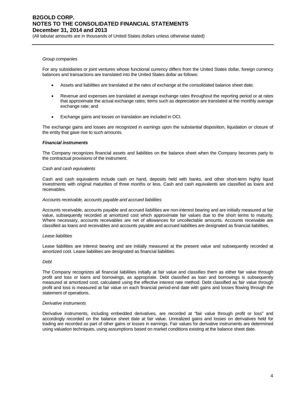(All tabular amounts are in thousands of United States dollars unless otherwise stated)

#### *Group companies*

For any subsidiaries or joint ventures whose functional currency differs from the United States dollar, foreign currency balances and transactions are translated into the United States dollar as follows:

- Assets and liabilities are translated at the rates of exchange at the consolidated balance sheet date;
- Revenue and expenses are translated at average exchange rates throughout the reporting period or at rates that approximate the actual exchange rates; items such as depreciation are translated at the monthly average exchange rate; and
- Exchange gains and losses on translation are included in OCI.

The exchange gains and losses are recognized in earnings upon the substantial disposition, liquidation or closure of the entity that gave rise to such amounts.

### *Financial instruments*

The Company recognizes financial assets and liabilities on the balance sheet when the Company becomes party to the contractual provisions of the instrument.

#### *Cash and cash equivalents*

Cash and cash equivalents include cash on hand, deposits held with banks, and other short-term highly liquid investments with original maturities of three months or less. Cash and cash equivalents are classified as loans and receivables.

#### *Accounts receivable, accounts payable and accrued liabilities*

Accounts receivable, accounts payable and accrued liabilities are non-interest bearing and are initially measured at fair value, subsequently recorded at amortized cost which approximate fair values due to the short terms to maturity. Where necessary, accounts receivables are net of allowances for uncollectable amounts. Accounts receivable are classified as loans and receivables and accounts payable and accrued liabilities are designated as financial liabilities.

#### *Lease liabilities*

Lease liabilities are interest bearing and are initially measured at the present value and subsequently recorded at amortized cost. Lease liabilities are designated as financial liabilities.

#### *Debt*

The Company recognizes all financial liabilities initially at fair value and classifies them as either fair value through profit and loss or loans and borrowings, as appropriate. Debt classified as loan and borrowings is subsequently measured at amortized cost, calculated using the effective interest rate method. Debt classified as fair value through profit and loss is measured at fair value on each financial period-end date with gains and losses flowing through the statement of operations.

#### *Derivative instruments*

Derivative instruments, including embedded derivatives, are recorded at "fair value through profit or loss" and accordingly recorded on the balance sheet date at fair value. Unrealized gains and losses on derivatives held for trading are recorded as part of other gains or losses in earnings. Fair values for derivative instruments are determined using valuation techniques, using assumptions based on market conditions existing at the balance sheet date.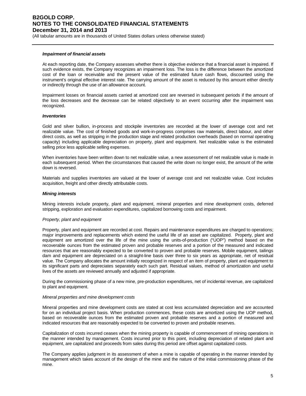(All tabular amounts are in thousands of United States dollars unless otherwise stated)

#### *Impairment of financial assets*

At each reporting date, the Company assesses whether there is objective evidence that a financial asset is impaired. If such evidence exists, the Company recognizes an impairment loss. The loss is the difference between the amortized cost of the loan or receivable and the present value of the estimated future cash flows, discounted using the instrument's original effective interest rate. The carrying amount of the asset is reduced by this amount either directly or indirectly through the use of an allowance account.

Impairment losses on financial assets carried at amortized cost are reversed in subsequent periods if the amount of the loss decreases and the decrease can be related objectively to an event occurring after the impairment was recognized.

#### *Inventories*

Gold and silver bullion, in-process and stockpile inventories are recorded at the lower of average cost and net realizable value. The cost of finished goods and work-in-progress comprises raw materials, direct labour, and other direct costs, as well as stripping in the production stage and related production overheads (based on normal operating capacity) including applicable depreciation on property, plant and equipment. Net realizable value is the estimated selling price less applicable selling expenses.

When inventories have been written down to net realizable value, a new assessment of net realizable value is made in each subsequent period. When the circumstances that caused the write down no longer exist, the amount of the write down is reversed.

Materials and supplies inventories are valued at the lower of average cost and net realizable value. Cost includes acquisition, freight and other directly attributable costs.

#### *Mining interests*

Mining interests include property, plant and equipment, mineral properties and mine development costs, deferred stripping, exploration and evaluation expenditures, capitalized borrowing costs and impairment.

#### *Property, plant and equipment*

Property, plant and equipment are recorded at cost. Repairs and maintenance expenditures are charged to operations; major improvements and replacements which extend the useful life of an asset are capitalized. Property, plant and equipment are amortized over the life of the mine using the units-of-production ("UOP") method based on the recoverable ounces from the estimated proven and probable reserves and a portion of the measured and indicated resources that are reasonably expected to be converted to proven and probable reserves. Mobile equipment, tailings dam and equipment are depreciated on a straight-line basis over three to six years as appropriate, net of residual value. The Company allocates the amount initially recognized in respect of an item of property, plant and equipment to its significant parts and depreciates separately each such part. Residual values, method of amortization and useful lives of the assets are reviewed annually and adjusted if appropriate.

During the commissioning phase of a new mine, pre-production expenditures, net of incidental revenue, are capitalized to plant and equipment.

#### *Mineral properties and mine development costs*

Mineral properties and mine development costs are stated at cost less accumulated depreciation and are accounted for on an individual project basis. When production commences, these costs are amortized using the UOP method, based on recoverable ounces from the estimated proven and probable reserves and a portion of measured and indicated resources that are reasonably expected to be converted to proven and probable reserves.

Capitalization of costs incurred ceases when the mining property is capable of commencement of mining operations in the manner intended by management. Costs incurred prior to this point, including depreciation of related plant and equipment, are capitalized and proceeds from sales during this period are offset against capitalized costs.

The Company applies judgment in its assessment of when a mine is capable of operating in the manner intended by management which takes account of the design of the mine and the nature of the initial commissioning phase of the mine.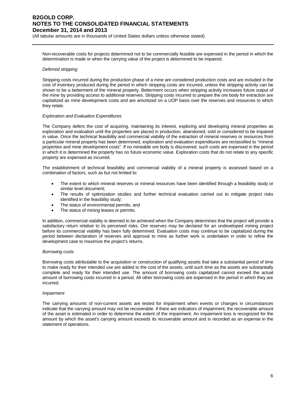(All tabular amounts are in thousands of United States dollars unless otherwise stated)

Non-recoverable costs for projects determined not to be commercially feasible are expensed in the period in which the determination is made or when the carrying value of the project is determined to be impaired.

#### *Deferred stripping*

Stripping costs incurred during the production phase of a mine are considered production costs and are included in the cost of inventory produced during the period in which stripping costs are incurred, unless the stripping activity can be shown to be a betterment of the mineral property. Betterment occurs when stripping activity increases future output of the mine by providing access to additional reserves. Stripping costs incurred to prepare the ore body for extraction are capitalized as mine development costs and are amortized on a UOP basis over the reserves and resources to which they relate.

### *Exploration and Evaluation Expenditures*

The Company defers the cost of acquiring, maintaining its interest, exploring and developing mineral properties as exploration and evaluation until the properties are placed in production, abandoned, sold or considered to be impaired in value. Once the technical feasibility and commercial viability of the extraction of mineral reserves or resources from a particular mineral property has been determined, exploration and evaluation expenditures are reclassified to "mineral properties and mine development costs". If no mineable ore body is discovered, such costs are expensed in the period in which it is determined the property has no future economic value. Exploration costs that do not relate to any specific property are expensed as incurred.

The establishment of technical feasibility and commercial viability of a mineral property is assessed based on a combination of factors, such as but not limited to:

- The extent to which mineral reserves or mineral resources have been identified through a feasibility study or similar level document;
- The results of optimization studies and further technical evaluation carried out to mitigate project risks identified in the feasibility study;
- The status of environmental permits, and
- The status of mining leases or permits.

In addition, commercial viability is deemed to be achieved when the Company determines that the project will provide a satisfactory return relative to its perceived risks. Ore reserves may be declared for an undeveloped mining project before its commercial viability has been fully determined. Evaluation costs may continue to be capitalized during the period between declaration of reserves and approval to mine as further work is undertaken in order to refine the development case to maximize the project's returns.

#### *Borrowing costs*

Borrowing costs attributable to the acquisition or construction of qualifying assets that take a substantial period of time to make ready for their intended use are added to the cost of the assets, until such time as the assets are substantially complete and ready for their intended use. The amount of borrowing costs capitalized cannot exceed the actual amount of borrowing costs incurred in a period. All other borrowing costs are expensed in the period in which they are incurred.

#### *Impairment*

The carrying amounts of non-current assets are tested for impairment when events or changes in circumstances indicate that the carrying amount may not be recoverable. If there are indicators of impairment, the recoverable amount of the asset is estimated in order to determine the extent of the impairment. An impairment loss is recognized for the amount by which the asset's carrying amount exceeds its recoverable amount and is recorded as an expense in the statement of operations.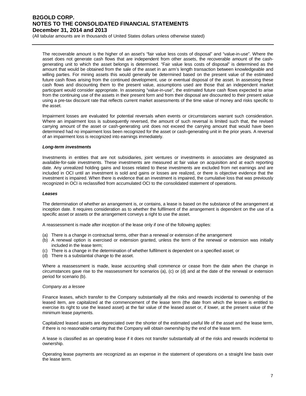(All tabular amounts are in thousands of United States dollars unless otherwise stated)

The recoverable amount is the higher of an asset's "fair value less costs of disposal" and "value-in-use". Where the asset does not generate cash flows that are independent from other assets, the recoverable amount of the cashgenerating unit to which the asset belongs is determined. "Fair value less costs of disposal" is determined as the amount that would be obtained from the sale of the asset in an arm's length transaction between knowledgeable and willing parties. For mining assets this would generally be determined based on the present value of the estimated future cash flows arising from the continued development, use or eventual disposal of the asset. In assessing these cash flows and discounting them to the present value, assumptions used are those that an independent market participant would consider appropriate. In assessing "value-in-use", the estimated future cash flows expected to arise from the continuing use of the assets in their present form and from their disposal are discounted to their present value using a pre-tax discount rate that reflects current market assessments of the time value of money and risks specific to the asset.

Impairment losses are evaluated for potential reversals when events or circumstances warrant such consideration. Where an impairment loss is subsequently reversed, the amount of such reversal is limited such that, the revised carrying amount of the asset or cash-generating unit does not exceed the carrying amount that would have been determined had no impairment loss been recognized for the asset or cash-generating unit in the prior years. A reversal of an impairment loss is recognized into earnings immediately.

### *Long-term investments*

Investments in entities that are not subsidiaries, joint ventures or investments in associates are designated as available-for-sale investments. These investments are measured at fair value on acquisition and at each reporting date. Any unrealized holding gains and losses related to these investments are excluded from net earnings and are included in OCI until an investment is sold and gains or losses are realized, or there is objective evidence that the investment is impaired. When there is evidence that an investment is impaired, the cumulative loss that was previously recognized in OCI is reclassified from accumulated OCI to the consolidated statement of operations.

#### *Leases*

The determination of whether an arrangement is, or contains, a lease is based on the substance of the arrangement at inception date. It requires consideration as to whether the fulfilment of the arrangement is dependent on the use of a specific asset or assets or the arrangement conveys a right to use the asset.

A reassessment is made after inception of the lease only if one of the following applies:

- (a) There is a change in contractual terms, other than a renewal or extension of the arrangement
- (b) A renewal option is exercised or extension granted, unless the term of the renewal or extension was initially included in the lease term;
- (c) There is a change in the determination of whether fulfilment is dependent on a specified asset; or
- (d) There is a substantial change to the asset.

Where a reassessment is made, lease accounting shall commence or cease from the date when the change in circumstances gave rise to the reassessment for scenarios (a), (c) or (d) and at the date of the renewal or extension period for scenario (b).

#### *Company as a lessee*

Finance leases, which transfer to the Company substantially all the risks and rewards incidental to ownership of the leased item, are capitalized at the commencement of the lease term (the date from which the lessee is entitled to exercise its right to use the leased asset) at the fair value of the leased asset or, if lower, at the present value of the minimum lease payments.

Capitalized leased assets are depreciated over the shorter of the estimated useful life of the asset and the lease term, if there is no reasonable certainty that the Company will obtain ownership by the end of the lease term.

A lease is classified as an operating lease if it does not transfer substantially all of the risks and rewards incidental to ownership.

Operating lease payments are recognized as an expense in the statement of operations on a straight line basis over the lease term.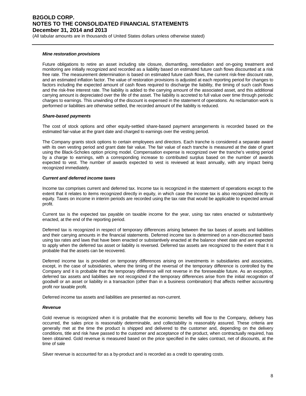(All tabular amounts are in thousands of United States dollars unless otherwise stated)

#### *Mine restoration provisions*

Future obligations to retire an asset including site closure, dismantling, remediation and on-going treatment and monitoring are initially recognized and recorded as a liability based on estimated future cash flows discounted at a risk free rate. The measurement determination is based on estimated future cash flows, the current risk-free discount rate, and an estimated inflation factor. The value of restoration provisions is adjusted at each reporting period for changes to factors including the expected amount of cash flows required to discharge the liability, the timing of such cash flows and the risk-free interest rate. The liability is added to the carrying amount of the associated asset, and this additional carrying amount is depreciated over the life of the asset. The liability is accreted to full value over time through periodic charges to earnings. This unwinding of the discount is expensed in the statement of operations. As reclamation work is performed or liabilities are otherwise settled, the recorded amount of the liability is reduced.

### *Share-based payments*

The cost of stock options and other equity-settled share-based payment arrangements is recorded based on the estimated fair-value at the grant date and charged to earnings over the vesting period.

The Company grants stock options to certain employees and directors. Each tranche is considered a separate award with its own vesting period and grant date fair value. The fair value of each tranche is measured at the date of grant using the Black-Scholes option pricing model. Compensation expense is recognized over the tranche's vesting period by a charge to earnings, with a corresponding increase to contributed surplus based on the number of awards expected to vest. The number of awards expected to vest is reviewed at least annually, with any impact being recognized immediately.

#### *Current and deferred income taxes*

Income tax comprises current and deferred tax. Income tax is recognized in the statement of operations except to the extent that it relates to items recognized directly in equity, in which case the income tax is also recognized directly in equity. Taxes on income in interim periods are recorded using the tax rate that would be applicable to expected annual profit.

Current tax is the expected tax payable on taxable income for the year, using tax rates enacted or substantively enacted, at the end of the reporting period.

Deferred tax is recognized in respect of temporary differences arising between the tax bases of assets and liabilities and their carrying amounts in the financial statements. Deferred income tax is determined on a non-discounted basis using tax rates and laws that have been enacted or substantively enacted at the balance sheet date and are expected to apply when the deferred tax asset or liability is reversed. Deferred tax assets are recognized to the extent that it is probable that the assets can be recovered.

Deferred income tax is provided on temporary differences arising on investments in subsidiaries and associates, except, in the case of subsidiaries, where the timing of the reversal of the temporary difference is controlled by the Company and it is probable that the temporary difference will not reverse in the foreseeable future. As an exception, deferred tax assets and liabilities are not recognized if the temporary differences arise from the initial recognition of goodwill or an asset or liability in a transaction (other than in a business combination) that affects neither accounting profit nor taxable profit.

Deferred income tax assets and liabilities are presented as non-current.

#### *Revenue*

Gold revenue is recognized when it is probable that the economic benefits will flow to the Company, delivery has occurred, the sales price is reasonably determinable, and collectability is reasonably assured. These criteria are generally met at the time the product is shipped and delivered to the customer and, depending on the delivery conditions, title and risk have passed to the customer and acceptance of the product, when contractually required, has been obtained. Gold revenue is measured based on the price specified in the sales contract, net of discounts, at the time of sale

Silver revenue is accounted for as a by-product and is recorded as a credit to operating costs.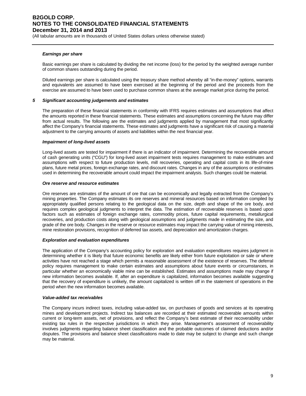(All tabular amounts are in thousands of United States dollars unless otherwise stated)

### *Earnings per share*

Basic earnings per share is calculated by dividing the net income (loss) for the period by the weighted average number of common shares outstanding during the period.

Diluted earnings per share is calculated using the treasury share method whereby all "in-the-money" options, warrants and equivalents are assumed to have been exercised at the beginning of the period and the proceeds from the exercise are assumed to have been used to purchase common shares at the average market price during the period.

### *5 Significant accounting judgements and estimates*

The preparation of these financial statements in conformity with IFRS requires estimates and assumptions that affect the amounts reported in these financial statements. These estimates and assumptions concerning the future may differ from actual results. The following are the estimates and judgments applied by management that most significantly affect the Company's financial statements. These estimates and judgments have a significant risk of causing a material adjustment to the carrying amounts of assets and liabilities within the next financial year.

### *Impairment of long-lived assets*

Long-lived assets are tested for impairment if there is an indicator of impairment. Determining the recoverable amount of cash generating units ("CGU") for long-lived asset impairment tests requires management to make estimates and assumptions with respect to future production levels, mill recoveries, operating and capital costs in its life-of-mine plans, future metal prices, foreign exchange rates, and discount rates. Changes in any of the assumptions or estimates used in determining the recoverable amount could impact the impairment analysis. Such changes could be material.

### *Ore reserve and resource estimates*

Ore reserves are estimates of the amount of ore that can be economically and legally extracted from the Company's mining properties. The Company estimates its ore reserves and mineral resources based on information compiled by appropriately qualified persons relating to the geological data on the size, depth and shape of the ore body, and requires complex geological judgments to interpret the data. The estimation of recoverable reserves is based upon factors such as estimates of foreign exchange rates, commodity prices, future capital requirements, metallurgical recoveries, and production costs along with geological assumptions and judgments made in estimating the size, and grade of the ore body. Changes in the reserve or resource estimates may impact the carrying value of mining interests, mine restoration provisions, recognition of deferred tax assets, and depreciation and amortization charges.

#### *Exploration and evaluation expenditures*

The application of the Company's accounting policy for exploration and evaluation expenditures requires judgment in determining whether it is likely that future economic benefits are likely either from future exploitation or sale or where activities have not reached a stage which permits a reasonable assessment of the existence of reserves. The deferral policy requires management to make certain estimates and assumptions about future events or circumstances, in particular whether an economically viable mine can be established. Estimates and assumptions made may change if new information becomes available. If, after an expenditure is capitalized, information becomes available suggesting that the recovery of expenditure is unlikely, the amount capitalized is written off in the statement of operations in the period when the new information becomes available.

### *Value-added tax receivables*

The Company incurs indirect taxes, including value-added tax, on purchases of goods and services at its operating mines and development projects. Indirect tax balances are recorded at their estimated recoverable amounts within current or long-term assets, net of provisions, and reflect the Company's best estimate of their recoverability under existing tax rules in the respective jurisdictions in which they arise. Management's assessment of recoverability involves judgments regarding balance sheet classification and the probable outcomes of claimed deductions and/or disputes. The provisions and balance sheet classifications made to date may be subject to change and such change may be material.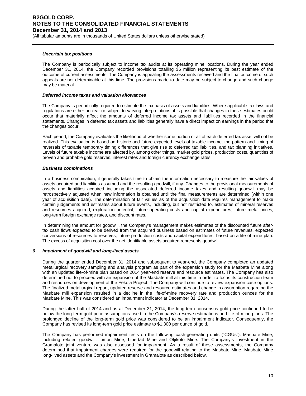(All tabular amounts are in thousands of United States dollars unless otherwise stated)

#### *Uncertain tax positions*

The Company is periodically subject to income tax audits at its operating mine locations. During the year ended December 31, 2014, the Company recorded provisions totalling \$6 million representing its best estimate of the outcome of current assessments. The Company is appealing the assessments received and the final outcome of such appeals are not determinable at this time. The provisions made to date may be subject to change and such change may be material.

#### *Deferred income taxes and valuation allowances*

The Company is periodically required to estimate the tax basis of assets and liabilities. Where applicable tax laws and regulations are either unclear or subject to varying interpretations, it is possible that changes in these estimates could occur that materially affect the amounts of deferred income tax assets and liabilities recorded in the financial statements. Changes in deferred tax assets and liabilities generally have a direct impact on earnings in the period that the changes occur.

Each period, the Company evaluates the likelihood of whether some portion or all of each deferred tax asset will not be realized. This evaluation is based on historic and future expected levels of taxable income, the pattern and timing of reversals of taxable temporary timing differences that give rise to deferred tax liabilities, and tax planning initiatives. Levels of future taxable income are affected by, among other things, market gold prices, production costs, quantities of proven and probable gold reserves, interest rates and foreign currency exchange rates.

### *Business combinations*

In a business combination, it generally takes time to obtain the information necessary to measure the fair values of assets acquired and liabilities assumed and the resulting goodwill, if any. Changes to the provisional measurements of assets and liabilities acquired including the associated deferred income taxes and resulting goodwill may be retrospectively adjusted when new information is obtained until the final measurements are determined (within one year of acquisition date). The determination of fair values as of the acquisition date requires management to make certain judgements and estimates about future events, including, but not restricted to, estimates of mineral reserves and resources acquired, exploration potential, future operating costs and capital expenditures, future metal prices, long-term foreign exchange rates, and discount rates.

In determining the amount for goodwill, the Company's management makes estimates of the discounted future aftertax cash flows expected to be derived from the acquired business based on estimates of future revenues, expected conversions of resources to reserves, future production costs and capital expenditures, based on a life of mine plan. The excess of acquisition cost over the net identifiable assets acquired represents goodwill.

### *6 Impairment of goodwill and long-lived assets*

During the quarter ended December 31, 2014 and subsequent to year-end, the Company completed an updated metallurgical recovery sampling and analysis program as part of the expansion study for the Masbate Mine along with an updated life-of-mine plan based on 2014 year-end reserve and resource estimates. The Company has also determined not to proceed with an expansion of the Masbate mill at this time in order to focus its construction team and resources on development of the Fekola Project. The Company will continue to review expansion case options. The finalized metallurgical report, updated reserve and resource estimates and change in assumption regarding the Masbate mill expansion resulted in a decline in the life-of-mine recovery rate and production ounces for the Masbate Mine. This was considered an impairment indicator at December 31, 2014.

During the latter half of 2014 and as at December 31, 2014, the long-term consensus gold price continued to be below the long-term gold price assumptions used in the Company's reserve estimations and life-of-mine plans. The prolonged decline of the long-term gold price was considered to be an impairment indicator. Consequently, the Company has revised its long-term gold price estimate to \$1,300 per ounce of gold.

The Company has performed impairment tests on the following cash-generating units ("CGUs"): Masbate Mine, including related goodwill, Limon Mine, Libertad Mine and Otjikoto Mine. The Company's investment in the Gramalote joint venture was also assessed for impairment. As a result of these assessments, the Company determined that impairment charges were required for the goodwill relating to the Masbate Mine, Masbate Mine long-lived assets and the Company's investment in Gramalote as described below.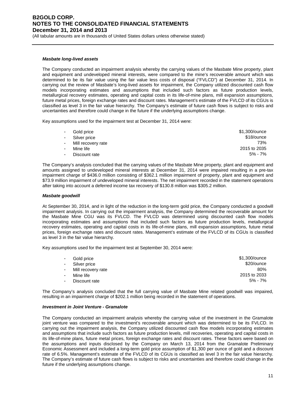(All tabular amounts are in thousands of United States dollars unless otherwise stated)

#### *Masbate long-lived assets*

The Company conducted an impairment analysis whereby the carrying values of the Masbate Mine property, plant and equipment and undeveloped mineral interests, were compared to the mine's recoverable amount which was determined to be its fair value using the fair value less costs of disposal ("FVLCD") at December 31, 2014. In carrying out the review of Masbate's long-lived assets for impairment, the Company utilized discounted cash flow models incorporating estimates and assumptions that included such factors as future production levels, metallurgical recovery estimates, operating and capital costs in its life-of-mine plans, mill expansion assumptions, future metal prices, foreign exchange rates and discount rates. Management's estimate of the FVLCD of its CGUs is classified as level 3 in the fair value hierarchy. The Company's estimate of future cash flows is subject to risks and uncertainties and therefore could change in the future if the underlying assumptions change.

Key assumptions used for the impairment test at December 31, 2014 were:

| - Gold price         | \$1,300/ounce |
|----------------------|---------------|
| - Silver price       | \$18/ounce    |
| - Mill recovery rate | 73%           |
| - Mine life          | 2015 to 2035  |
| - Discount rate      | $5\% - 7\%$   |

The Company's analysis concluded that the carrying values of the Masbate Mine property, plant and equipment and amounts assigned to undeveloped mineral interests at December 31, 2014 were impaired resulting in a pre-tax impairment charge of \$436.0 million consisting of \$362.1 million impairment of property, plant and equipment and \$73.9 million impairment of undeveloped mineral interests. The net impairment recorded in the statement operations after taking into account a deferred income tax recovery of \$130.8 million was \$305.2 million.

### *Masbate goodwill*

At September 30, 2014, and in light of the reduction in the long-term gold price, the Company conducted a goodwill impairment analysis. In carrying out the impairment analysis, the Company determined the recoverable amount for the Masbate Mine CGU was its FVLCD. The FVLCD was determined using discounted cash flow models incorporating estimates and assumptions that included such factors as future production levels, metallurgical recovery estimates, operating and capital costs in its life-of-mine plans, mill expansion assumptions, future metal prices, foreign exchange rates and discount rates. Management's estimate of the FVLCD of its CGUs is classified as level 3 in the fair value hierarchy.

Key assumptions used for the impairment test at September 30, 2014 were:

| $\overline{\phantom{0}}$ | Gold price         | \$1,300/ounce |
|--------------------------|--------------------|---------------|
| $\overline{\phantom{a}}$ | Silver price       | \$20/ounce    |
| $\overline{\phantom{0}}$ | Mill recovery rate | 80%           |
| Ξ.                       | Mine life          | 2015 to 2033  |
| $\overline{\phantom{0}}$ | Discount rate      | 5% - 7%       |

The Company's analysis concluded that the full carrying value of Masbate Mine related goodwill was impaired, resulting in an impairment charge of \$202.1 million being recorded in the statement of operations.

#### *Investment in Joint Venture - Gramalote*

The Company conducted an impairment analysis whereby the carrying value of the investment in the Gramalote joint venture was compared to the investment's recoverable amount which was determined to be its FVLCD. In carrying out the impairment analysis, the Company utilized discounted cash flow models incorporating estimates and assumptions that include such factors as future production levels, mill recoveries, operating and capital costs in its life-of-mine plans, future metal prices, foreign exchange rates and discount rates. These factors were based on the assumptions and inputs disclosed by the Company on March 13, 2014 from the Gramalote Preliminary Economic Assessment and included a long-term gold price assumption of \$1,300 per ounce of gold and a discount rate of 6.5%. Management's estimate of the FVLCD of its CGUs is classified as level 3 in the fair value hierarchy. The Company's estimate of future cash flows is subject to risks and uncertainties and therefore could change in the future if the underlying assumptions change.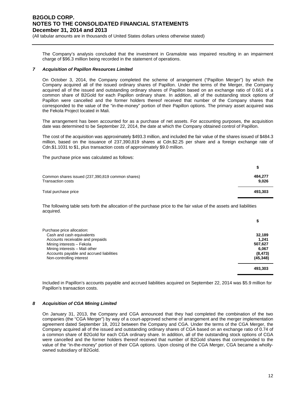(All tabular amounts are in thousands of United States dollars unless otherwise stated)

The Company's analysis concluded that the investment in Gramalote was impaired resulting in an impairment charge of \$96.3 million being recorded in the statement of operations.

### *7 Acquisition of Papillon Resources Limited*

On October 3, 2014, the Company completed the scheme of arrangement ("Papillon Merger") by which the Company acquired all of the issued ordinary shares of Papillon. Under the terms of the Merger, the Company acquired all of the issued and outstanding ordinary shares of Papillon based on an exchange ratio of 0.661 of a common share of B2Gold for each Papillon ordinary share. In addition, all of the outstanding stock options of Papillon were cancelled and the former holders thereof received that number of the Company shares that corresponded to the value of the "in-the-money" portion of their Papillon options. The primary asset acquired was the Fekola Project located in Mali.

The arrangement has been accounted for as a purchase of net assets. For accounting purposes, the acquisition date was determined to be September 22, 2014, the date at which the Company obtained control of Papillon.

The cost of the acquisition was approximately \$493.3 million, and included the fair value of the shares issued of \$484.3 million, based on the issuance of 237,390,819 shares at Cdn.\$2.25 per share and a foreign exchange rate of Cdn.\$1.1031 to \$1, plus transaction costs of approximately \$9.0 million.

The purchase price was calculated as follows:

| Common shares issued (237,390,819 common shares)<br>Transaction costs | 484.277<br>9.026 |
|-----------------------------------------------------------------------|------------------|
| Total purchase price                                                  | 493.303          |

The following table sets forth the allocation of the purchase price to the fair value of the assets and liabilities acquired.

|                                          | \$        |
|------------------------------------------|-----------|
| Purchase price allocation:               |           |
| Cash and cash equivalents                | 32,189    |
| Accounts receivable and prepaids         | 1.241     |
| Mining interests - Fekola                | 507,627   |
| Mining interests - Mali other            | 6.067     |
| Accounts payable and accrued liabilities | (8, 473)  |
| Non-controlling interest                 | (45, 348) |
|                                          | 493.303   |

Included in Papillon's accounts payable and accrued liabilities acquired on September 22, 2014 was \$5.9 million for Papillon's transaction costs.

#### *8 Acquisition of CGA Mining Limited*

On January 31, 2013, the Company and CGA announced that they had completed the combination of the two companies (the "CGA Merger") by way of a court-approved scheme of arrangement and the merger implementation agreement dated September 18, 2012 between the Company and CGA. Under the terms of the CGA Merger, the Company acquired all of the issued and outstanding ordinary shares of CGA based on an exchange ratio of 0.74 of a common share of B2Gold for each CGA ordinary share. In addition, all of the outstanding stock options of CGA were cancelled and the former holders thereof received that number of B2Gold shares that corresponded to the value of the "in-the-money" portion of their CGA options. Upon closing of the CGA Merger, CGA became a whollyowned subsidiary of B2Gold.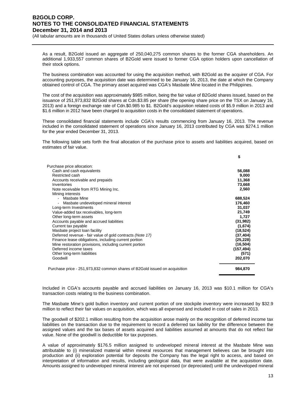(All tabular amounts are in thousands of United States dollars unless otherwise stated)

As a result, B2Gold issued an aggregate of 250,040,275 common shares to the former CGA shareholders. An additional 1,933,557 common shares of B2Gold were issued to former CGA option holders upon cancellation of their stock options.

The business combination was accounted for using the acquisition method, with B2Gold as the acquirer of CGA. For accounting purposes, the acquisition date was determined to be January 16, 2013, the date at which the Company obtained control of CGA. The primary asset acquired was CGA's Masbate Mine located in the Philippines.

The cost of the acquisition was approximately \$985 million, being the fair value of B2Gold shares issued, based on the issuance of 251,973,832 B2Gold shares at Cdn.\$3.85 per share (the opening share price on the TSX on January 16, 2013) and a foreign exchange rate of Cdn.\$0.985 to \$1. B2Gold's acquisition related costs of \$5.9 million in 2013 and \$1.6 million in 2012 have been charged to acquisition costs in the consolidated statement of operations.

These consolidated financial statements include CGA's results commencing from January 16, 2013. The revenue included in the consolidated statement of operations since January 16, 2013 contributed by CGA was \$274.1 million for the year ended December 31, 2013.

The following table sets forth the final allocation of the purchase price to assets and liabilities acquired, based on estimates of fair value.

|                                                                            | \$         |
|----------------------------------------------------------------------------|------------|
| Purchase price allocation:                                                 |            |
| Cash and cash equivalents                                                  | 56,088     |
| Restricted cash                                                            | 9,000      |
| Accounts receivable and prepaids                                           | 11,368     |
| Inventories                                                                | 73,668     |
| Note receivable from RTG Mining Inc.                                       | 2,560      |
| Mining interests                                                           |            |
| - Masbate Mine                                                             | 688,524    |
| Masbate undeveloped mineral interest                                       | 176,460    |
| Long-term Investments                                                      | 31,037     |
| Value-added tax receivables, long-term                                     | 21,749     |
| Other long-term assets                                                     | 1,727      |
| Accounts payable and accrued liabilities                                   | (31, 982)  |
| Current tax payable                                                        | (1,674)    |
| Masbate project loan facility                                              | (18, 524)  |
| Deferred revenue - fair value of gold contracts (Note 17)                  | (37, 404)  |
| Finance lease obligations, including current portion                       | (25, 228)  |
| Mine restoration provisions, including current portion                     | (16, 504)  |
| Deferred income taxes                                                      | (157, 494) |
| Other long-term liabilities                                                | (571)      |
| Goodwill                                                                   | 202,070    |
| Purchase price - 251,973,832 common shares of B2Gold issued on acquisition | 984,870    |
|                                                                            |            |

Included in CGA's accounts payable and accrued liabilities on January 16, 2013 was \$10.1 million for CGA's transaction costs relating to the business combination.

The Masbate Mine's gold bullion inventory and current portion of ore stockpile inventory were increased by \$32.9 million to reflect their fair values on acquisition, which was all expensed and included in cost of sales in 2013.

The goodwill of \$202.1 million resulting from the acquisition arose mainly on the recognition of deferred income tax liabilities on the transaction due to the requirement to record a deferred tax liability for the difference between the assigned values and the tax bases of assets acquired and liabilities assumed at amounts that do not reflect fair value. None of the goodwill is deductible for tax purposes.

A value of approximately \$176.5 million assigned to undeveloped mineral interest at the Masbate Mine was attributable to (i) mineralized material within mineral resources that management believes can be brought into production and (ii) exploration potential for deposits the Company has the legal right to access, and based on interpretation of information and results, including geological data, that were available at the acquisition date. Amounts assigned to undeveloped mineral interest are not expensed (or depreciated) until the undeveloped mineral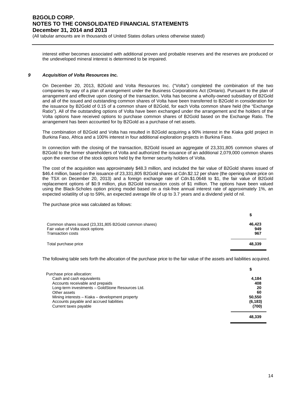(All tabular amounts are in thousands of United States dollars unless otherwise stated)

interest either becomes associated with additional proven and probable reserves and the reserves are produced or the undeveloped mineral interest is determined to be impaired.

### *9 Acquisition of Volta Resources Inc.*

On December 20, 2013, B2Gold and Volta Resources Inc. ("Volta") completed the combination of the two companies by way of a plan of arrangement under the Business Corporations Act (Ontario). Pursuant to the plan of arrangement and effective upon closing of the transaction, Volta has become a wholly-owned subsidiary of B2Gold and all of the issued and outstanding common shares of Volta have been transferred to B2Gold in consideration for the issuance by B2Gold of 0.15 of a common share of B2Gold, for each Volta common share held (the "Exchange Ratio"). All of the outstanding options of Volta have been exchanged under the arrangement and the holders of the Volta options have received options to purchase common shares of B2Gold based on the Exchange Ratio. The arrangement has been accounted for by B2Gold as a purchase of net assets.

The combination of B2Gold and Volta has resulted in B2Gold acquiring a 90% interest in the Kiaka gold project in Burkina Faso, Africa and a 100% interest in four additional exploration projects in Burkina Faso.

In connection with the closing of the transaction, B2Gold issued an aggregate of 23,331,805 common shares of B2Gold to the former shareholders of Volta and authorized the issuance of an additional 2,079,000 common shares upon the exercise of the stock options held by the former security holders of Volta.

The cost of the acquisition was approximately \$48.3 million, and included the fair value of B2Gold shares issued of \$46.4 million, based on the issuance of 23,331,805 B2Gold shares at Cdn.\$2.12 per share (the opening share price on the TSX on December 20, 2013) and a foreign exchange rate of Cdn.\$1.0648 to \$1, the fair value of B2Gold replacement options of \$0.9 million, plus B2Gold transaction costs of \$1 million. The options have been valued using the Black-Scholes option pricing model based on a risk-free annual interest rate of approximately 1%, an expected volatility of up to 59%, an expected average life of up to 3.7 years and a dividend yield of nil.

The purchase price was calculated as follows:

|                                                                                                                         | S                    |
|-------------------------------------------------------------------------------------------------------------------------|----------------------|
| Common shares issued (23,331,805 B2Gold common shares)<br>Fair value of Volta stock options<br><b>Transaction costs</b> | 46.423<br>949<br>967 |
| Total purchase price                                                                                                    | 48,339               |

The following table sets forth the allocation of the purchase price to the fair value of the assets and liabilities acquired.

|                                                  | \$       |
|--------------------------------------------------|----------|
| Purchase price allocation:                       |          |
| Cash and cash equivalents                        | 4.184    |
| Accounts receivable and prepaids                 | 408      |
| Long-term investments - GoldStone Resources Ltd. | 20       |
| Other assets                                     | 60       |
| Mining interests - Kiaka - development property  | 50,550   |
| Accounts payable and accrued liabilities         | (6, 183) |
| Current taxes payable                            | (700)    |
|                                                  | 48.339   |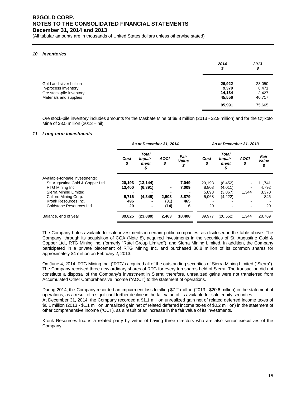(All tabular amounts are in thousands of United States dollars unless otherwise stated)

#### *10 Inventories*

|                                                                                                       | 2014<br>\$                          | 2013<br>\$                         |
|-------------------------------------------------------------------------------------------------------|-------------------------------------|------------------------------------|
| Gold and silver bullion<br>In-process inventory<br>Ore stock-pile inventory<br>Materials and supplies | 26,922<br>9,379<br>14,134<br>45,556 | 23,050<br>8,471<br>3,427<br>40,717 |
|                                                                                                       | 95,991                              | 75,665                             |

Ore stock-pile inventory includes amounts for the Masbate Mine of \$9.8 million (2013 - \$2.9 million) and for the Otjikoto Mine of \$3.5 million (2013 – nil).

#### *11 Long-term investments*

|                                  | As at December 31, 2014  |                                       |                   |                     | As at December 31, 2013 |                                       |                   |                     |
|----------------------------------|--------------------------|---------------------------------------|-------------------|---------------------|-------------------------|---------------------------------------|-------------------|---------------------|
|                                  | Cost<br>\$               | <b>Total</b><br>Impair-<br>ment<br>\$ | <b>AOCI</b><br>\$ | Fair<br>Value<br>\$ | Cost<br>\$              | <b>Total</b><br>Impair-<br>ment<br>\$ | <b>AOCI</b><br>\$ | Fair<br>Value<br>\$ |
| Available-for-sale investments:  |                          |                                       |                   |                     |                         |                                       |                   |                     |
| St. Augustine Gold & Copper Ltd. | 20,193                   | (13, 144)                             | $\blacksquare$    | 7,049               | 20,193                  | (8, 452)                              | ۰                 | 11,741              |
| RTG Mining Inc.                  | 13,400                   | (6, 391)                              | $\blacksquare$    | 7,009               | 8,803                   | (4,011)                               |                   | 4,792               |
| Sierra Mining Limited            | $\overline{\phantom{0}}$ |                                       |                   |                     | 5,893                   | (3,867)                               | 1,344             | 3,370               |
| Calibre Mining Corp.             | 5,716                    | (4, 345)                              | 2.508             | 3,879               | 5.068                   | (4,222)                               | ۰                 | 846                 |
| Kronk Resources Inc.             | 496                      | -                                     | (31)              | 465                 |                         |                                       | ۰                 |                     |
| Goldstone Resources Ltd.         | 20                       | -                                     | (14)              | 6                   | 20                      |                                       |                   | 20                  |
| Balance, end of year             | 39,825                   | (23, 880)                             | 2,463             | 18,408              | 39,977                  | (20, 552)                             | 1,344             | 20,769              |

The Company holds available-for-sale investments in certain public companies, as disclosed in the table above. The Company, through its acquisition of CGA (Note 8), acquired investments in the securities of St. Augustine Gold & Copper Ltd., RTG Mining Inc. (formerly "Ratel Group Limited"), and Sierra Mining Limited. In addition, the Company participated in a private placement of RTG Mining Inc. and purchased 30.8 million of its common shares for approximately \$4 million on February 2, 2013.

On June 4, 2014, RTG Mining Inc. ("RTG") acquired all of the outstanding securities of Sierra Mining Limited ("Sierra"). The Company received three new ordinary shares of RTG for every ten shares held of Sierra. The transaction did not constitute a disposal of the Company's investment in Sierra; therefore, unrealized gains were not transferred from Accumulated Other Comprehensive Income ("AOCI") to the statement of operations.

During 2014, the Company recorded an impairment loss totalling \$7.2 million (2013 - \$20.6 million) in the statement of operations, as a result of a significant further decline in the fair value of its available-for-sale equity securities. At December 31, 2014, the Company recorded a \$1.1 million unrealized gain net of related deferred income taxes of \$0.1 million (2013 - \$1.1 million unrealized gain net of related deferred income taxes of \$0.2 million) in the statement of other comprehensive income ("OCI"), as a result of an increase in the fair value of its investments.

Kronk Resources Inc. is a related party by virtue of having three directors who are also senior executives of the Company.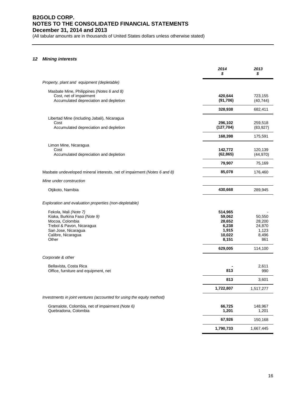(All tabular amounts are in thousands of United States dollars unless otherwise stated)

## *12 Mining interests*

|                                                                                                                                                             | 2014<br>\$                                                                  | 2013<br>\$                                                     |
|-------------------------------------------------------------------------------------------------------------------------------------------------------------|-----------------------------------------------------------------------------|----------------------------------------------------------------|
| Property, plant and equipment (depletable)                                                                                                                  |                                                                             |                                                                |
| Masbate Mine, Philippines (Notes 6 and 8)<br>Cost, net of impairment<br>Accumulated depreciation and depletion                                              | 420,644<br>(91,706)                                                         | 723,155<br>(40, 744)                                           |
|                                                                                                                                                             | 328,938                                                                     | 682,411                                                        |
| Libertad Mine (including Jabali), Nicaragua<br>Cost<br>Accumulated depreciation and depletion                                                               | 296,102<br>(127, 704)                                                       | 259,518<br>(83, 927)                                           |
|                                                                                                                                                             | 168,398                                                                     | 175,591                                                        |
| Limon Mine, Nicaragua<br>Cost<br>Accumulated depreciation and depletion                                                                                     | 142,772<br>(62, 865)                                                        | 120,139<br>(44, 970)                                           |
|                                                                                                                                                             | 79,907                                                                      | 75,169                                                         |
| Masbate undeveloped mineral interests, net of impairment (Notes 6 and 8)                                                                                    | 85,078                                                                      | 176,460                                                        |
| Mine under construction                                                                                                                                     |                                                                             |                                                                |
| Otjikoto, Namibia                                                                                                                                           | 430,668                                                                     | 289,945                                                        |
| Exploration and evaluation properties (non-depletable)                                                                                                      |                                                                             |                                                                |
| Fekola, Mali (Note 7)<br>Kiaka, Burkina Faso (Note 9)<br>Mocoa, Colombia<br>Trebol & Pavon, Nicaragua<br>San Jose, Nicaragua<br>Calibre, Nicaragua<br>Other | 514,965<br>59,062<br>28,652<br>6,238<br>1,915<br>10,022<br>8,151<br>629,005 | 50,550<br>28,200<br>24,870<br>1,123<br>8,496<br>861<br>114,100 |
| Corporate & other                                                                                                                                           |                                                                             |                                                                |
| Bellavista, Costa Rica<br>Office, furniture and equipment, net                                                                                              | 813                                                                         | 2,611<br>990                                                   |
|                                                                                                                                                             | 813                                                                         | 3,601                                                          |
|                                                                                                                                                             | 1,722,807                                                                   | 1,517,277                                                      |
| Investments in joint ventures (accounted for using the equity method)                                                                                       |                                                                             |                                                                |
| Gramalote, Colombia, net of impairment (Note 6)<br>Quebradona, Colombia                                                                                     | 66,725<br>1,201                                                             | 148,967<br>1,201                                               |
|                                                                                                                                                             | 67,926                                                                      | 150,168                                                        |
|                                                                                                                                                             | 1,790,733                                                                   | 1,667,445                                                      |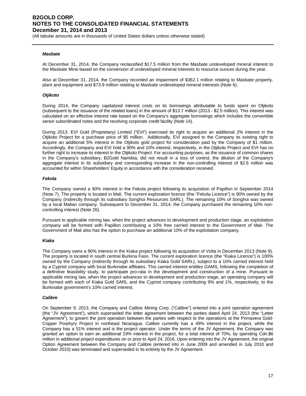(All tabular amounts are in thousands of United States dollars unless otherwise stated)

#### *Masbate*

At December 31, 2014, the Company reclassified \$17.5 million from the Masbate undeveloped mineral interest to the Masbate Mine based on the conversion of undeveloped mineral interests to resource ounces during the year.

Also at December 31, 2014, the Company recorded an impairment of \$362.1 million relating to Masbate property, plant and equipment and \$73.9 million relating to Masbate undeveloped mineral interests (Note 6).

#### *Otjikoto*

During 2014, the Company capitalized interest costs on its borrowings attributable to funds spent on Otjikoto (subsequent to the issuance of the related loans) in the amount of \$13.7 million (2013 - \$2.5 million). This interest was calculated on an effective interest rate based on the Company's aggregate borrowings which includes the convertible senior subordinated notes and the revolving corporate credit facility (Note 14).

During 2013, EVI Gold (Proprietary) Limited ("EVI") exercised its right to acquire an additional 2% interest in the Otjikoto Project for a purchase price of \$5 million. Additionally, EVI assigned to the Company its existing right to acquire an additional 5% interest in the Otjikoto gold project for consideration paid by the Company of \$1 million. Accordingly, the Company and EVI hold a 90% and 10% interest, respectively, in the Otjikoto Project and EVI has no further right to increase its interest in the Otjikoto Project. For accounting purposes, as the issuance of common shares in the Company's subsidiary, B2Gold Namibia, did not result in a loss of control, the dilution of the Company's aggregate interest in its subsidiary and corresponding increase in the non-controlling interest of \$2.6 million was accounted for within Shareholders' Equity in accordance with the consideration received.

#### *Fekola*

The Company owned a 90% interest in the Fekola project following its acquisition of Papillon in September 2014 (Note 7). The property is located in Mali. The current exploration licence (the "Fekola Licence") is 90% owned by the Company (indirectly through its subsidiary Songhoi Resources SARL). The remaining 10% of Songhoi was owned by a local Malian company. Subsequent to December 31, 2014, the Company purchased the remaining 10% noncontrolling interest (Note 26).

Pursuant to applicable mining law, when the project advances to development and production stage, an exploitation company will be formed with Papillon contributing a 10% free carried interest to the Government of Mali. The Government of Mali also has the option to purchase an additional 10% of the exploitation company.

#### *Kiaka*

The Company owns a 90% interest in the Kiaka project following its acquisition of Volta in December 2013 (Note 9). The property is located in south central Burkina Faso. The current exploration licence (the "Kiaka Licence") is 100% owned by the Company (indirectly through its subsidiary Kiaka Gold SARL), subject to a 10% carried interest held by a Cypriot company with local Burkinabe affiliates. This carried interest entitles GAMS, following the completion of a definitive feasibility study, to participate pro-rata in the development and construction of a mine. Pursuant to applicable mining law, when the project advances to development and production stage, an operating company will be formed with each of Kiaka Gold SARL and the Cypriot company contributing 9% and 1%, respectively, to the Burkinabe government's 10% carried interest.

#### *Calibre*

On September 9, 2013, the Company and Calibre Mining Corp. ("Calibre") entered into a joint operation agreement (the "JV Agreement"), which superseded the letter agreement between the parties dated April 24, 2013 (the "Letter Agreement"), to govern the joint operation between the parties with respect to the operations at the Primavera Gold-Copper Porphyry Project in northeast Nicaragua. Calibre currently has a 49% interest in the project, while the Company has a 51% interest and is the project operator. Under the terms of the JV Agreement, the Company was granted an option to earn an additional 19% interest in the project, for a total interest of 70%, by spending Cdn.\$6 million in additional project expenditures on or prior to April 24, 2016. Upon entering into the JV Agreement, the original Option Agreement between the Company and Calibre (entered into in June 2009 and amended in July 2010 and October 2010) was terminated and superseded in its entirety by the JV Agreement.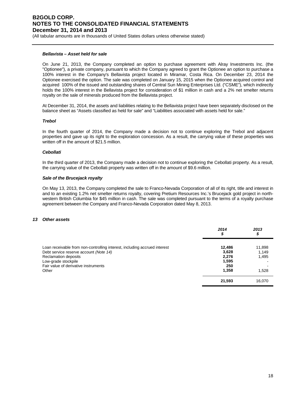(All tabular amounts are in thousands of United States dollars unless otherwise stated)

#### *Bellavista – Asset held for sale*

On June 21, 2013, the Company completed an option to purchase agreement with Alray Investments Inc. (the "Optionee"), a private company, pursuant to which the Company agreed to grant the Optionee an option to purchase a 100% interest in the Company's Bellavista project located in Miramar, Costa Rica. On December 23, 2014 the Optionee exercised the option. The sale was completed on January 15, 2015 when the Optionee acquired control and acquired 100% of the issued and outstanding shares of Central Sun Mining Enterprises Ltd. ("CSME"), which indirectly holds the 100% interest in the Bellavista project for consideration of \$1 million in cash and a 2% net smelter returns royalty on the sale of minerals produced from the Bellavista project.

At December 31, 2014, the assets and liabilities relating to the Bellavista project have been separately disclosed on the balance sheet as "Assets classified as held for sale" and "Liabilities associated with assets held for sale."

#### *Trebol*

In the fourth quarter of 2014, the Company made a decision not to continue exploring the Trebol and adjacent properties and gave up its right to the exploration concession. As a result, the carrying value of these properties was written off in the amount of \$21.5 million.

#### *Cebollati*

In the third quarter of 2013, the Company made a decision not to continue exploring the Cebollati property. As a result, the carrying value of the Cebollati property was written off in the amount of \$9.6 million.

#### *Sale of the Brucejack royalty*

On May 13, 2013, the Company completed the sale to Franco-Nevada Corporation of all of its right, title and interest in and to an existing 1.2% net smelter returns royalty, covering Pretium Resources Inc.'s Brucejack gold project in northwestern British Columbia for \$45 million in cash. The sale was completed pursuant to the terms of a royalty purchase agreement between the Company and Franco-Nevada Corporation dated May 8, 2013.

#### *13 Other assets*

|                                                                                                                                                                                                                            | 2014<br>\$                                        | 2013<br>\$                        |
|----------------------------------------------------------------------------------------------------------------------------------------------------------------------------------------------------------------------------|---------------------------------------------------|-----------------------------------|
| Loan receivable from non-controlling interest, including accrued interest<br>Debt service reserve account (Note 14)<br><b>Reclamation deposits</b><br>Low-grade stockpile<br>Fair value of derivative instruments<br>Other | 12,486<br>3,628<br>2,276<br>1,595<br>250<br>1,358 | 11,898<br>1,149<br>1,495<br>1,528 |
|                                                                                                                                                                                                                            | 21,593                                            | 16,070                            |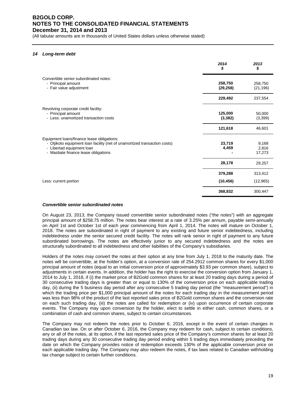(All tabular amounts are in thousands of United States dollars unless otherwise stated)

### *14 Long-term debt*

|                                                                                                                                                                                             | 2014<br>\$           | 2013<br>S                |
|---------------------------------------------------------------------------------------------------------------------------------------------------------------------------------------------|----------------------|--------------------------|
| Convertible senior subordinated notes:<br>- Principal amount<br>- Fair value adjustment                                                                                                     | 258,750<br>(29, 258) | 258,750<br>(21, 196)     |
|                                                                                                                                                                                             | 229,492              | 237,554                  |
| Revolving corporate credit facility:<br>- Principal amount<br>- Less: unamortized transaction costs                                                                                         | 125,000<br>(3, 382)  | 50,000<br>(3,399)        |
|                                                                                                                                                                                             | 121,618              | 46,601                   |
| Equipment loans/finance lease obligations:<br>- Otjikoto equipment loan facility (net of unamortized transaction costs)<br>- Libertad equipment loan<br>- Masbate finance lease obligations | 23,719<br>4,459      | 9,168<br>2,816<br>17,273 |
|                                                                                                                                                                                             | 28,178               | 29,257                   |
|                                                                                                                                                                                             | 379,288              | 313,412                  |
| Less: current portion                                                                                                                                                                       | (10, 456)            | (12,965)                 |
|                                                                                                                                                                                             | 368,832              | 300,447                  |

#### *Convertible senior subordinated notes*

On August 23, 2013, the Company issued convertible senior subordinated notes ("the notes") with an aggregate principal amount of \$258.75 million. The notes bear interest at a rate of 3.25% per annum, payable semi-annually on April 1st and October 1st of each year commencing from April 1, 2014. The notes will mature on October 1, 2018. The notes are subordinated in right of payment to any existing and future senior indebtedness, including indebtedness under the senior secured credit facility. The notes will rank senior in right of payment to any future subordinated borrowings. The notes are effectively junior to any secured indebtedness and the notes are structurally subordinated to all indebtedness and other liabilities of the Company's subsidiaries.

Holders of the notes may convert the notes at their option at any time from July 1, 2018 to the maturity date. The notes will be convertible, at the holder's option, at a conversion rate of 254.2912 common shares for every \$1,000 principal amount of notes (equal to an initial conversion price of approximately \$3.93 per common share), subject to adjustments in certain events. In addition, the holder has the right to exercise the conversion option from January 1, 2014 to July 1, 2018, if (i) the market price of B2Gold common shares for at least 20 trading days during a period of 30 consecutive trading days is greater than or equal to 130% of the conversion price on each applicable trading day, (ii) during the 5 business day period after any consecutive 5 trading day period (the "measurement period") in which the trading price per \$1,000 principal amount of the notes for each trading day in the measurement period was less than 98% of the product of the last reported sales price of B2Gold common shares and the conversion rate on each such trading day, (iii) the notes are called for redemption or (iv) upon occurrence of certain corporate events. The Company may upon conversion by the holder, elect to settle in either cash, common shares, or a combination of cash and common shares, subject to certain circumstances.

The Company may not redeem the notes prior to October 6, 2016, except in the event of certain changes in Canadian tax law. On or after October 6, 2016, the Company may redeem for cash, subject to certain conditions, any or all of the notes, at its option, if the last reported sales price of the Company's common shares for at least 20 trading days during any 30 consecutive trading day period ending within 5 trading days immediately preceding the date on which the Company provides notice of redemption exceeds 130% of the applicable conversion price on each applicable trading day. The Company may also redeem the notes, if tax laws related to Canadian withholding tax change subject to certain further conditions.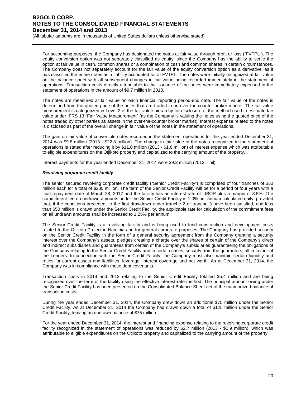(All tabular amounts are in thousands of United States dollars unless otherwise stated)

For accounting purposes, the Company has designated the notes at fair value through profit or loss ("FVTPL"). The equity conversion option was not separately classified as equity, since the Company has the ability to settle the option at fair value in cash, common shares or a combination of cash and common shares in certain circumstances. The Company does not separately account for the fair value of the equity conversion option as a derivative, as it has classified the entire notes as a liability accounted for at FVTPL. The notes were initially recognized at fair value on the balance sheet with all subsequent changes in fair value being recorded immediately in the statement of operations. Transaction costs directly attributable to the issuance of the notes were immediately expensed in the statement of operations in the amount of \$9.7 million in 2013.

The notes are measured at fair value on each financial reporting period-end date. The fair value of the notes is determined from the quoted price of the notes that are traded in an over-the-counter broker market. The fair value measurement is categorized in Level 2 of the fair value hierarchy for disclosure of the method used to estimate fair value under IFRS 13 "Fair Value Measurement" (as the Company is valuing the notes using the quoted price of the notes traded by other parties as assets in the over-the-counter broker market). Interest expense related to the notes is disclosed as part of the overall change in fair value of the notes in the statement of operations.

The gain on fair value of convertible notes recorded in the statement operations for the year ended December 31, 2014 was \$9.8 million (2013 - \$22.8 million). The change in fair value of the notes recognized in the statement of operations is stated after reducing it by \$11.0 million (2013 - \$1.6 million) of interest expense which was attributable to eligible expenditures on the Otjikoto property and capitalized to the carrying amount of the property.

Interest payments for the year ended December 31, 2014 were \$9.3 million (2013 – nil).

#### *Revolving corporate credit facility*

The senior secured revolving corporate credit facility ("Senior Credit Facility") is comprised of four tranches of \$50 million each for a total of \$200 million. The term of the Senior Credit Facility will be for a period of four years with a final repayment date of March 28, 2017 and the facility has an interest rate of LIBOR plus a margin of 3.5%. The commitment fee on undrawn amounts under the Senior Credit Facility is 1.0% per annum calculated daily, provided that, if the conditions precedent to the first drawdown under tranche 2 or tranche 3 have been satisfied, and less than \$50 million is drawn under the Senior Credit Facility, the applicable rate for calculation of the commitment fees on all undrawn amounts shall be increased to 1.25% per annum.

The Senior Credit Facility is a revolving facility and is being used to fund construction and development costs related to the Otjikoto Project in Namibia and for general corporate purposes. The Company has provided security on the Senior Credit Facility in the form of a general security agreement from the Company granting a security interest over the Company's assets, pledges creating a charge over the shares of certain of the Company's direct and indirect subsidiaries and guarantees from certain of the Company's subsidiaries guaranteeing the obligations of the Company relating to the Senior Credit Facility and in certain cases, security from the guarantors, all in favour of the Lenders. In connection with the Senior Credit Facility, the Company must also maintain certain liquidity and ratios for current assets and liabilities, leverage, interest coverage and net worth. As at December 31, 2014, the Company was in compliance with these debt covenants.

Transaction costs in 2014 and 2013 relating to the Senior Credit Facility totalled \$5.4 million and are being recognized over the term of the facility using the effective interest rate method. The principal amount owing under the Senior Credit Facility has been presented on the Consolidated Balance Sheet net of the unamortized balance of transaction costs.

During the year ended December 31, 2014, the Company drew down an additional \$75 million under the Senior Credit Facility. As at December 31, 2014 the Company had drawn down a total of \$125 million under the Senior Credit Facility, leaving an undrawn balance of \$75 million.

For the year ended December 31, 2014, the interest and financing expense relating to the revolving corporate credit facility recognized in the statement of operations was reduced by \$2.7 million (2013 - \$0.9 million), which was attributable to eligible expenditures on the Otjikoto property and capitalized to the carrying amount of the property.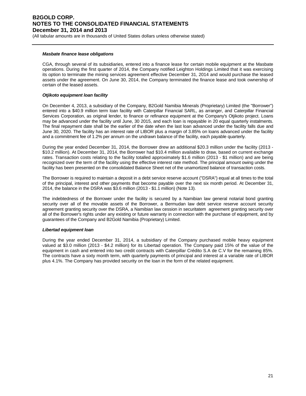(All tabular amounts are in thousands of United States dollars unless otherwise stated)

#### *Masbate finance lease obligations*

CGA, through several of its subsidiaries, entered into a finance lease for certain mobile equipment at the Masbate operations. During the first quarter of 2014, the Company notified Leighton Holdings Limited that it was exercising its option to terminate the mining services agreement effective December 31, 2014 and would purchase the leased assets under the agreement. On June 30, 2014, the Company terminated the finance lease and took ownership of certain of the leased assets.

### *Otjikoto equipment loan facility*

On December 4, 2013, a subsidiary of the Company, B2Gold Namibia Minerals (Proprietary) Limited (the "Borrower") entered into a \$40.9 million term loan facility with Caterpillar Financial SARL, as arranger, and Caterpillar Financial Services Corporation, as original lender, to finance or refinance equipment at the Company's Otjikoto project. Loans may be advanced under the facility until June, 30 2015, and each loan is repayable in 20 equal quarterly instalments. The final repayment date shall be the earlier of the date when the last loan advanced under the facility falls due and June 30, 2020. The facility has an interest rate of LIBOR plus a margin of 3.85% on loans advanced under the facility and a commitment fee of 1.2% per annum on the undrawn balance of the facility, each payable quarterly.

During the year ended December 31, 2014, the Borrower drew an additional \$20.3 million under the facility (2013 - \$10.2 million). At December 31, 2014, the Borrower had \$10.4 million available to draw, based on current exchange rates. Transaction costs relating to the facility totalled approximately \$1.6 million (2013 - \$1 million) and are being recognized over the term of the facility using the effective interest rate method. The principal amount owing under the facility has been presented on the consolidated Balance Sheet net of the unamortized balance of transaction costs.

The Borrower is required to maintain a deposit in a debt service reserve account ("DSRA") equal at all times to the total of the principal, interest and other payments that become payable over the next six month period. At December 31, 2014, the balance in the DSRA was \$3.6 million (2013 - \$1.1 million) (Note 13).

The indebtedness of the Borrower under the facility is secured by a Namibian law general notarial bond granting security over all of the movable assets of the Borrower, a Bermudan law debt service reserve account security agreement granting security over the DSRA, a Namibian law cession in securitatem agreement granting security over all of the Borrower's rights under any existing or future warranty in connection with the purchase of equipment, and by guarantees of the Company and B2Gold Namibia (Proprietary) Limited.

### *Libertad equipment loan*

During the year ended December 31, 2014, a subsidiary of the Company purchased mobile heavy equipment valued at \$3.0 million (2013 - \$4.2 million) for its Libertad operation. The Company paid 15% of the value of the equipment in cash and entered into two credit contracts with Caterpillar Crédito S.A de C.V for the remaining 85%. The contracts have a sixty month term, with quarterly payments of principal and interest at a variable rate of LIBOR plus 4.1%. The Company has provided security on the loan in the form of the related equipment.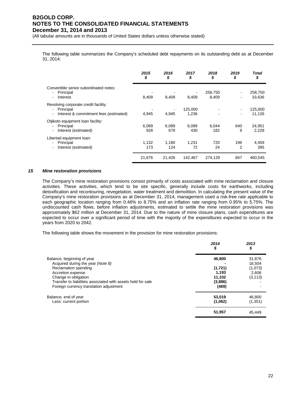(All tabular amounts are in thousands of United States dollars unless otherwise stated)

The following table summarizes the Company's scheduled debt repayments on its outstanding debt as at December 31, 2014:

|                                                                                                               | 2015<br>\$   | 2016<br>\$   | 2017<br>\$       | 2018<br>\$       | 2019<br>\$ | Total<br>\$       |
|---------------------------------------------------------------------------------------------------------------|--------------|--------------|------------------|------------------|------------|-------------------|
| Convertible senior subordinated notes:<br>Principal<br>$\blacksquare$<br>Interest<br>$\blacksquare$           | 8,409        | 8,409        | 8,409            | 258,750<br>8,409 | ٠          | 258,750<br>33,636 |
| Revolving corporate credit facility:<br>Principal<br>$\blacksquare$<br>Interest & commitment fees (estimated) | 4,945        | 4,945        | 125.000<br>1,236 |                  | ۰<br>۰     | 125,000<br>11,126 |
| Otjikoto equipment loan facility:<br>Principal<br>Interest (estimated)                                        | 6.089<br>928 | 6,089<br>679 | 6,089<br>430     | 6.044<br>182     | 640<br>9   | 24,951<br>2,228   |
| Libertad equipment loan:<br>Principal<br>Interest (estimated)                                                 | 1,132<br>173 | 1.180<br>124 | 1.231<br>72      | 720<br>24        | 196<br>2   | 4,459<br>395      |
|                                                                                                               | 21,676       | 21,426       | 142.467          | 274,129          | 847        | 460,545           |

### *15 Mine restoration provisions*

The Company's mine restoration provisions consist primarily of costs associated with mine reclamation and closure activities. These activities, which tend to be site specific, generally include costs for earthworks, including detoxification and recontouring, revegetation, water treatment and demolition. In calculating the present value of the Company's mine restoration provisions as at December 31, 2014, management used a risk-free rate applicable to each geographic location ranging from 0.46% to 8.75% and an inflation rate ranging from 0.95% to 5.75%. The undiscounted cash flows, before inflation adjustments, estimated to settle the mine restoration provisions was approximately \$62 million at December 31, 2014. Due to the nature of mine closure plans, cash expenditures are expected to occur over a significant period of time with the majority of the expenditures expected to occur in the years from 2020 to 2042.

The following table shows the movement in the provision for mine restoration provisions:

|                                                                                                                                                                                                                                                 | 2014<br>\$                                               | 2013<br>\$                                       |
|-------------------------------------------------------------------------------------------------------------------------------------------------------------------------------------------------------------------------------------------------|----------------------------------------------------------|--------------------------------------------------|
| Balance, beginning of year<br>Acquired during the year (Note 8)<br>Reclamation spending<br>Accretion expense<br>Change in obligation<br>Transfer to liabilities associated with assets held for sale<br>Foreign currency translation adjustment | 46,800<br>(1,721)<br>1,193<br>11,102<br>(3,886)<br>(469) | 31,876<br>16.504<br>(1,073)<br>2,606<br>(3, 113) |
| Balance, end of year<br>Less: current portion                                                                                                                                                                                                   | 53,019<br>(1,062)                                        | 46.800<br>(1, 351)                               |
|                                                                                                                                                                                                                                                 | 51,957                                                   | 45.449                                           |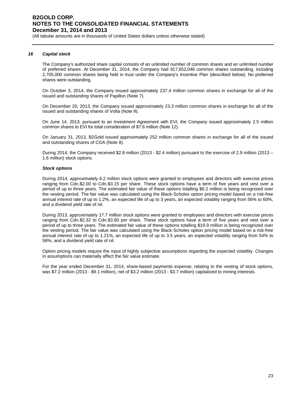(All tabular amounts are in thousands of United States dollars unless otherwise stated)

#### *16 Capital stock*

The Company's authorized share capital consists of an unlimited number of common shares and an unlimited number of preferred shares. At December 31, 2014, the Company had 917,652,046 common shares outstanding, including 2,705,000 common shares being held in trust under the Company's Incentive Plan (described below). No preferred shares were outstanding.

On October 3, 2014, the Company issued approximately 237.4 million common shares in exchange for all of the issued and outstanding shares of Papillon (Note 7).

On December 20, 2013, the Company issued approximately 23.3 million common shares in exchange for all of the issued and outstanding shares of Volta (Note 9).

On June 14, 2013, pursuant to an Investment Agreement with EVI, the Company issued approximately 2.5 million common shares to EVI for total consideration of \$7.6 million (Note 12).

On January 31, 2013, B2Gold issued approximately 252 million common shares in exchange for all of the issued and outstanding shares of CGA (Note 8).

During 2014, the Company received \$2.8 million (2013 - \$2.4 million) pursuant to the exercise of 2.9 million (2013 – 1.6 million) stock options.

#### *Stock options*

During 2014, approximately 6.2 million stock options were granted to employees and directors with exercise prices ranging from Cdn.\$2.00 to Cdn.\$3.15 per share. These stock options have a term of five years and vest over a period of up to three years. The estimated fair value of these options totalling \$6.2 million is being recognized over the vesting period. The fair value was calculated using the Black-Scholes option pricing model based on a risk-free annual interest rate of up to 1.2%, an expected life of up to 3 years, an expected volatility ranging from 56% to 60%, and a dividend yield rate of nil.

During 2013, approximately 17.7 million stock options were granted to employees and directors with exercise prices ranging from Cdn.\$2.32 to Cdn.\$3.80 per share. These stock options have a term of five years and vest over a period of up to three years. The estimated fair value of these options totalling \$19.9 million is being recognized over the vesting period. The fair value was calculated using the Black-Scholes option pricing model based on a risk-free annual interest rate of up to 1.21%, an expected life of up to 3.5 years, an expected volatility ranging from 54% to 58%, and a dividend yield rate of nil.

Option pricing models require the input of highly subjective assumptions regarding the expected volatility. Changes in assumptions can materially affect the fair value estimate.

For the year ended December 31, 2014, share-based payments expense, relating to the vesting of stock options, was \$7.2 million (2013 - \$9.1 million), net of \$3.2 million (2013 - \$3.7 million) capitalized to mining interests.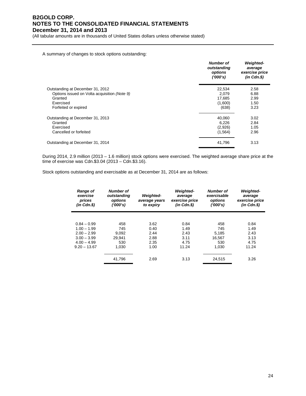(All tabular amounts are in thousands of United States dollars unless otherwise stated)

A summary of changes to stock options outstanding:

|                                                                                  | <b>Number of</b><br>outstanding<br>options<br>(1000's) | <b>Weighted-</b><br>average<br>exercise price<br>$(in$ $Cdn.S)$ |
|----------------------------------------------------------------------------------|--------------------------------------------------------|-----------------------------------------------------------------|
| Outstanding at December 31, 2012<br>Options issued on Volta acquisition (Note 9) | 22,534<br>2,079                                        | 2.58<br>6.88                                                    |
| Granted                                                                          | 17,685                                                 | 2.99                                                            |
| Exercised                                                                        | (1,600)                                                | 1.50                                                            |
| Forfeited or expired                                                             | (638)                                                  | 3.23                                                            |
| Outstanding at December 31, 2013                                                 | 40,060                                                 | 3.02                                                            |
| Granted                                                                          | 6,226                                                  | 2.84                                                            |
| Exercised                                                                        | (2,926)                                                | 1.05                                                            |
| Cancelled or forfeited                                                           | (1, 564)                                               | 2.96                                                            |
| Outstanding at December 31, 2014                                                 | 41,796                                                 | 3.13                                                            |

During 2014, 2.9 million (2013 – 1.6 million) stock options were exercised. The weighted average share price at the time of exercise was Cdn.\$3.04 (2013 – Cdn.\$3.16).

Stock options outstanding and exercisable as at December 31, 2014 are as follows:

| <b>Range of</b><br>exercise<br>prices<br>$(in$ $Cdn.S)$ | Number of<br>outstanding<br>options<br>(1000's) | <b>Weighted-</b><br>average years<br>to expiry | <b>Weighted-</b><br>average<br>exercise price<br>$(in$ $Cdn.S)$ | Number of<br>exercisable<br>options<br>(1000's) | <b>Weighted-</b><br>average<br>exercise price<br>$(in$ $Cdn.S)$ |
|---------------------------------------------------------|-------------------------------------------------|------------------------------------------------|-----------------------------------------------------------------|-------------------------------------------------|-----------------------------------------------------------------|
|                                                         |                                                 |                                                |                                                                 |                                                 |                                                                 |
| $0.84 - 0.99$                                           | 458                                             | 3.62                                           | 0.84                                                            | 458                                             | 0.84                                                            |
| $1.00 - 1.99$                                           | 745                                             | 0.40                                           | 1.49                                                            | 745                                             | 1.49                                                            |
| $2.00 - 2.99$                                           | 9.092                                           | 2.44                                           | 2.43                                                            | 5.185                                           | 2.43                                                            |
| $3.00 - 3.99$                                           | 29.941                                          | 2.88                                           | 3.11                                                            | 16.567                                          | 3.13                                                            |
| $4.00 - 4.99$                                           | 530                                             | 2.35                                           | 4.75                                                            | 530                                             | 4.75                                                            |
| $9.20 - 13.67$                                          | 1.030                                           | 1.00                                           | 11.24                                                           | 1.030                                           | 11.24                                                           |
|                                                         | 41,796                                          | 2.69                                           | 3.13                                                            | 24,515                                          | 3.26                                                            |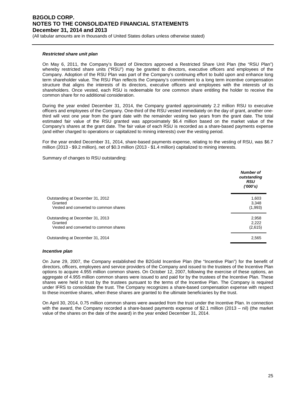(All tabular amounts are in thousands of United States dollars unless otherwise stated)

#### *Restricted share unit plan*

On May 6, 2011, the Company's Board of Directors approved a Restricted Share Unit Plan (the "RSU Plan") whereby restricted share units ("RSU") may be granted to directors, executive officers and employees of the Company. Adoption of the RSU Plan was part of the Company's continuing effort to build upon and enhance long term shareholder value. The RSU Plan reflects the Company's commitment to a long term incentive compensation structure that aligns the interests of its directors, executive officers and employees with the interests of its shareholders. Once vested, each RSU is redeemable for one common share entitling the holder to receive the common share for no additional consideration.

During the year ended December 31, 2014, the Company granted approximately 2.2 million RSU to executive officers and employees of the Company. One-third of the RSU vested immediately on the day of grant, another onethird will vest one year from the grant date with the remainder vesting two years from the grant date. The total estimated fair value of the RSU granted was approximately \$6.4 million based on the market value of the Company's shares at the grant date. The fair value of each RSU is recorded as a share-based payments expense (and either charged to operations or capitalized to mining interests) over the vesting period.

For the year ended December 31, 2014, share-based payments expense, relating to the vesting of RSU, was \$6.7 million (2013 - \$9.2 million), net of \$0.3 million (2013 - \$1.4 million) capitalized to mining interests.

Summary of changes to RSU outstanding:

|                                       | <b>Number of</b><br>outstanding<br><b>RSU</b><br>(1000's) |
|---------------------------------------|-----------------------------------------------------------|
| Outstanding at December 31, 2012      | 1,603                                                     |
| Granted                               | 3,348                                                     |
| Vested and converted to common shares | (1,993)                                                   |
| Outstanding at December 31, 2013      | 2,958                                                     |
| Granted                               | 2.222                                                     |
| Vested and converted to common shares | (2,615)                                                   |
| Outstanding at December 31, 2014      | 2,565                                                     |

#### *Incentive plan*

On June 29, 2007, the Company established the B2Gold Incentive Plan (the "Incentive Plan") for the benefit of directors, officers, employees and service providers of the Company and issued to the trustees of the Incentive Plan options to acquire 4.955 million common shares. On October 12, 2007, following the exercise of these options, an aggregate of 4.955 million common shares were issued to and paid for by the trustees of the Incentive Plan. These shares were held in trust by the trustees pursuant to the terms of the Incentive Plan. The Company is required under IFRS to consolidate the trust. The Company recognizes a share-based compensation expense with respect to these incentive shares, when these shares are granted to the ultimate beneficiaries by the trust.

On April 30, 2014, 0.75 million common shares were awarded from the trust under the Incentive Plan. In connection with the award, the Company recorded a share-based payments expense of \$2.1 million (2013 – nil) (the market value of the shares on the date of the award) in the year ended December 31, 2014.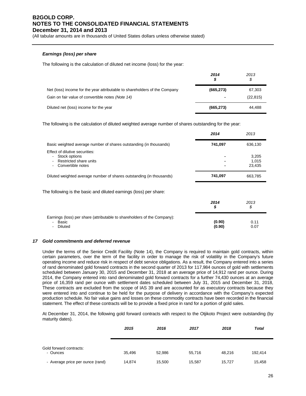(All tabular amounts are in thousands of United States dollars unless otherwise stated)

### *Earnings (loss) per share*

The following is the calculation of diluted net income (loss) for the year:

|                                                                            | 2014<br>S  | 2013<br>\$ |
|----------------------------------------------------------------------------|------------|------------|
| Net (loss) income for the year attributable to shareholders of the Company | (665, 273) | 67,303     |
| Gain on fair value of convertible notes (Note 14)                          |            | (22, 815)  |
| Diluted net (loss) income for the year                                     | (665, 273) | 44,488     |

The following is the calculation of diluted weighted average number of shares outstanding for the year:

|                                                                                                                      | 2014             | 2013                     |
|----------------------------------------------------------------------------------------------------------------------|------------------|--------------------------|
| Basic weighted average number of shares outstanding (in thousands)                                                   | 741,097          | 636,130                  |
| Effect of dilutive securities:<br>- Stock options<br>Restricted share units<br>$\sim$<br>Convertible notes<br>$\sim$ |                  | 3,205<br>1,015<br>23,435 |
| Diluted weighted average number of shares outstanding (in thousands)                                                 | 741,097          | 663,785                  |
| The following is the basic and diluted earnings (loss) per share:                                                    |                  |                          |
|                                                                                                                      | 2014<br>\$       | 2013<br>\$               |
| Earnings (loss) per share (attributable to shareholders of the Company):<br>- Basic<br><b>Diluted</b>                | (0.90)<br>(0.90) | 0.11<br>0.07             |

#### *17 Gold commitments and deferred revenue*

Under the terms of the Senior Credit Facility (Note 14), the Company is required to maintain gold contracts, within certain parameters, over the term of the facility in order to manage the risk of volatility in the Company's future operating income and reduce risk in respect of debt service obligations. As a result, the Company entered into a series of rand denominated gold forward contracts in the second quarter of 2013 for 117,984 ounces of gold with settlements scheduled between January 30, 2015 and December 31, 2018 at an average price of 14,912 rand per ounce. During 2014, the Company entered into rand denominated gold forward contracts for a further 74,430 ounces at an average price of 16,359 rand per ounce with settlement dates scheduled between July 31, 2015 and December 31, 2018, These contracts are excluded from the scope of IAS 39 and are accounted for as executory contracts because they were entered into and continue to be held for the purpose of delivery in accordance with the Company's expected production schedule. No fair value gains and losses on these commodity contracts have been recorded in the financial statement. The effect of these contracts will be to provide a fixed price in rand for a portion of gold sales.

At December 31, 2014, the following gold forward contracts with respect to the Otjikoto Project were outstanding (by maturity dates).

|                                     | 2015   | 2016   | 2017   | 2018   | <b>Total</b> |
|-------------------------------------|--------|--------|--------|--------|--------------|
| Gold forward contracts:<br>- Ounces | 35.496 | 52,986 | 55.716 | 48.216 | 192,414      |
| - Average price per ounce (rand)    | 14,874 | 15,500 | 15,587 | 15,727 | 15,458       |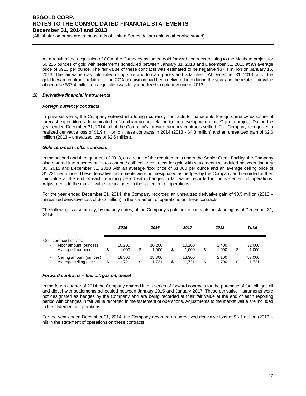(All tabular amounts are in thousands of United States dollars unless otherwise stated)

As a result of the acquisition of CGA, the Company assumed gold forward contracts relating to the Masbate project for 50,225 ounces of gold with settlements scheduled between January 31, 2013 and December 31, 2013 at an average price of \$913 per ounce. The fair value of these contracts was estimated to be negative \$37.4 million on January 16, 2013. The fair value was calculated using spot and forward prices and volatilities. At December 31, 2013, all of the gold forward contracts relating to the CGA acquisition had been delivered into during the year and the related fair value of negative \$37.4 million on acquisition was fully amortized to gold revenue in 2013.

### *18 Derivative financial instruments*

### *Foreign currency contracts*

In previous years, the Company entered into foreign currency contracts to manage its foreign currency exposure of forecast expenditures denominated in Namibian dollars relating to the development of its Otjikoto project. During the year ended December 31, 2014, all of the Company's forward currency contracts settled. The Company recognized a realized derivative loss of \$1.9 million on these contracts in 2014 (2013 - \$4.8 million) and an unrealized gain of \$2.6 million (2013 – unrealized loss of \$2.6 million).

### *Gold zero-cost collar contracts*

In the second and third quarters of 2013, as a result of the requirements under the Senior Credit Facility, the Company also entered into a series of "zero-cost put/ call" collar contracts for gold with settlements scheduled between January 30, 2015 and December 31, 2018 with an average floor price of \$1,000 per ounce and an average ceiling price of \$1,721 per ounce. These derivative instruments were not designated as hedges by the Company and recorded at their fair value at the end of each reporting period with changes in fair value recorded in the statement of operations. Adjustments to the market value are included in the statement of operations.

For the year ended December 31, 2014, the Company recorded an unrealized derivative gain of \$0.5 million (2013 – unrealized derivative loss of \$0.2 million) in the statement of operations on these contracts.

The following is a summary, by maturity dates, of the Company's gold collar contracts outstanding as at December 31, 2014:

|                                                                                                             |   | 2015            | 2016                  |    | 2017            | 2018                 |   | <b>Total</b>    |  |
|-------------------------------------------------------------------------------------------------------------|---|-----------------|-----------------------|----|-----------------|----------------------|---|-----------------|--|
| Gold zero-cost collars:<br>Floor amount (ounces)<br>$\blacksquare$<br>Average floor price<br>$\blacksquare$ |   | 10.200<br>1.000 | \$<br>10.200<br>1.000 | \$ | 10.200<br>1.000 | \$<br>1.400<br>1.000 |   | 32,000<br>1,000 |  |
| Ceiling amount (ounces)<br>۰.<br>Average ceiling price<br>$\blacksquare$                                    | S | 18.300<br>1.721 | \$<br>18.300<br>1.721 | S  | 18.300<br>1.721 | \$<br>2.100<br>1,700 | S | 57,000<br>1.721 |  |

### *Forward contracts – fuel oil, gas oil, diesel*

In the fourth quarter of 2014 the Company entered into a series of forward contracts for the purchase of fuel oil, gas oil and diesel with settlements scheduled between January 2015 and January 2017. These derivative instruments were not designated as hedges by the Company and are being recorded at their fair value at the end of each reporting period with changes in fair value recorded in the statement of operations. Adjustments to the market value are included in the statement of operations.

For the year ended December 31, 2014, the Company recorded an unrealized derivative loss of \$3.1 million (2013 – nil) in the statement of operations on these contracts.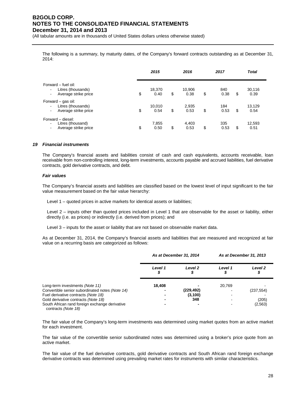(All tabular amounts are in thousands of United States dollars unless otherwise stated)

The following is a summary, by maturity dates, of the Company's forward contracts outstanding as at December 31, 2014:

|                                                                                     | 2015                 | 2016                 | 2017              | <b>Total</b>         |
|-------------------------------------------------------------------------------------|----------------------|----------------------|-------------------|----------------------|
| Forward - fuel oil:<br>Litres (thousands)<br>$\blacksquare$<br>Average strike price | \$<br>18,370<br>0.40 | \$<br>10,906<br>0.38 | \$<br>840<br>0.38 | \$<br>30,116<br>0.39 |
| Forward – gas oil:<br>Litres (thousands)<br>$\blacksquare$<br>Average strike price  | \$<br>10,010<br>0.54 | \$<br>2,935<br>0.53  | \$<br>184<br>0.53 | \$<br>13,129<br>0.54 |
| Forward - diesel:<br>Litres (thousand)<br>Average strike price                      | \$<br>7,855<br>0.50  | \$<br>4,403<br>0.53  | \$<br>335<br>0.53 | \$<br>12,593<br>0.51 |

### *19 Financial instruments*

The Company's financial assets and liabilities consist of cash and cash equivalents, accounts receivable, loan receivable from non-controlling interest, long-term investments, accounts payable and accrued liabilities, fuel derivative contracts, gold derivative contracts, and debt.

### *Fair values*

The Company's financial assets and liabilities are classified based on the lowest level of input significant to the fair value measurement based on the fair value hierarchy:

Level 1 – quoted prices in active markets for identical assets or liabilities;

Level 2 – inputs other than quoted prices included in Level 1 that are observable for the asset or liability, either directly (i.e. as prices) or indirectly (i.e. derived from prices); and

Level 3 – inputs for the asset or liability that are not based on observable market data.

As at December 31, 2014, the Company's financial assets and liabilities that are measured and recognized at fair value on a recurring basis are categorized as follows:

|                                                                       | As at December 31, 2014 |           | As at December 31, 2013 |                    |
|-----------------------------------------------------------------------|-------------------------|-----------|-------------------------|--------------------|
|                                                                       | Level 1                 | Level 2   | Level 1                 | Level <sub>2</sub> |
| Long-term investments (Note 11)                                       | 18,408                  |           | 20.769                  |                    |
| Convertible senior subordinated notes (Note 14)                       |                         | (229,492) |                         | (237, 554)         |
| Fuel derivative contracts (Note 18)                                   |                         | (3,100)   |                         |                    |
| Gold derivative contracts (Note 18)                                   |                         | 348       |                         | (205)              |
| South African rand foreign exchange derivative<br>contracts (Note 18) |                         |           |                         | (2, 563)           |

The fair value of the Company's long-term investments was determined using market quotes from an active market for each investment.

The fair value of the convertible senior subordinated notes was determined using a broker's price quote from an active market.

The fair value of the fuel derivative contracts, gold derivative contracts and South African rand foreign exchange derivative contracts was determined using prevailing market rates for instruments with similar characteristics.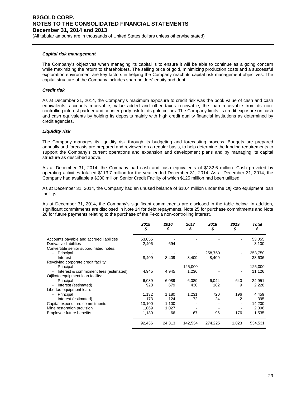(All tabular amounts are in thousands of United States dollars unless otherwise stated)

#### *Capital risk management*

The Company's objectives when managing its capital is to ensure it will be able to continue as a going concern while maximizing the return to shareholders. The selling price of gold, minimizing production costs and a successful exploration environment are key factors in helping the Company reach its capital risk management objectives. The capital structure of the Company includes shareholders' equity and debt.

### *Credit risk*

As at December 31, 2014, the Company's maximum exposure to credit risk was the book value of cash and cash equivalents, accounts receivable, value added and other taxes receivable, the loan receivable from its noncontrolling interest partner and counter-party risk for its gold collars. The Company limits its credit exposure on cash and cash equivalents by holding its deposits mainly with high credit quality financial institutions as determined by credit agencies.

### *Liquidity risk*

The Company manages its liquidity risk through its budgeting and forecasting process. Budgets are prepared annually and forecasts are prepared and reviewed on a regular basis, to help determine the funding requirements to support the Company's current operations and expansion and development plans and by managing its capital structure as described above.

As at December 31, 2014, the Company had cash and cash equivalents of \$132.6 million. Cash provided by operating activities totalled \$113.7 million for the year ended December 31, 2014. As at December 31, 2014, the Company had available a \$200 million Senior Credit Facility of which \$125 million had been utilized.

As at December 31, 2014, the Company had an unused balance of \$10.4 million under the Otjikoto equipment loan facility.

As at December 31, 2014, the Company's significant commitments are disclosed in the table below. In addition, significant commitments are disclosed in Note 14 for debt repayments, Note 25 for purchase commitments and Note 26 for future payments relating to the purchase of the Fekola non-controlling interest.

|                                                          | 2015<br>\$ | 2016<br>\$ | 2017<br>\$ | 2018<br>\$ | 2019<br>\$ | Total<br>\$ |
|----------------------------------------------------------|------------|------------|------------|------------|------------|-------------|
| Accounts payable and accrued liabilities                 | 53,055     |            |            |            |            | 53,055      |
| Derivative liabilities                                   | 2,406      | 694        |            |            |            | 3,100       |
| Convertible senior subordinated notes:                   |            |            |            |            |            |             |
| Principal<br>$\overline{\phantom{a}}$                    |            |            |            | 258,750    |            | 258,750     |
| Interest                                                 | 8,409      | 8,409      | 8,409      | 8,409      |            | 33,636      |
| Revolving corporate credit facility:                     |            |            |            |            |            |             |
| Principal                                                |            |            | 125,000    |            |            | 125,000     |
| Interest & commitment fees (estimated)<br>$\blacksquare$ | 4,945      | 4,945      | 1,236      |            | ۰          | 11,126      |
| Otjikoto equipment loan facility:                        |            |            |            |            |            |             |
| Principal                                                | 6.089      | 6,089      | 6,089      | 6,044      | 640        | 24,951      |
| Interest (estimated)                                     | 928        | 679        | 430        | 182        | 9          | 2,228       |
| Libertad equipment loan:                                 |            |            |            |            |            |             |
| Principal<br>$\blacksquare$                              | 1,132      | 1,180      | 1,231      | 720        | 196        | 4,459       |
| Interest (estimated)<br>$\overline{\phantom{a}}$         | 173        | 124        | 72         | 24         | 2          | 395         |
| Capital expenditure commitments                          | 13,100     | 1,100      |            |            |            | 14,200      |
| Mine restoration provision                               | 1,069      | 1,027      |            |            |            | 2,096       |
| Employee future benefits                                 | 1,130      | 66         | 67         | 96         | 176        | 1,535       |
|                                                          | 92,436     | 24,313     | 142,534    | 274,225    | 1,023      | 534,531     |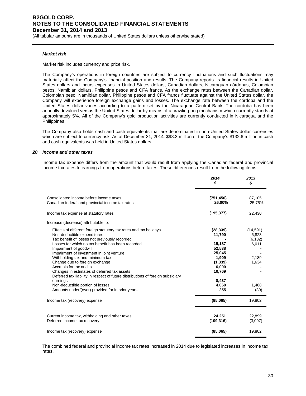(All tabular amounts are in thousands of United States dollars unless otherwise stated)

### *Market risk*

Market risk includes currency and price risk.

The Company's operations in foreign countries are subject to currency fluctuations and such fluctuations may materially affect the Company's financial position and results. The Company reports its financial results in United States dollars and incurs expenses in United States dollars, Canadian dollars, Nicaraguan córdobas, Colombian pesos, Namibian dollars, Philippine pesos and CFA francs. As the exchange rates between the Canadian dollar, Colombian peso, Namibian dollar, Philippine pesos and CFA francs fluctuate against the United States dollar, the Company will experience foreign exchange gains and losses. The exchange rate between the córdoba and the United States dollar varies according to a pattern set by the Nicaraguan Central Bank. The córdoba has been annually devalued versus the United States dollar by means of a crawling peg mechanism which currently stands at approximately 5%. All of the Company's gold production activities are currently conducted in Nicaragua and the Philippines.

The Company also holds cash and cash equivalents that are denominated in non-United States dollar currencies which are subject to currency risk. As at December 31, 2014, \$98.3 million of the Company's \$132.6 million in cash and cash equivalents was held in United States dollars.

### *20 Income and other taxes*

Income tax expense differs from the amount that would result from applying the Canadian federal and provincial income tax rates to earnings from operations before taxes. These differences result from the following items:

|                                                                                                                                | 2014<br>\$           | 2013<br>\$         |
|--------------------------------------------------------------------------------------------------------------------------------|----------------------|--------------------|
| Consolidated income before income taxes<br>Canadian federal and provincial income tax rates                                    | (751, 450)<br>26.00% | 87,105<br>25.75%   |
| Income tax expense at statutory rates                                                                                          | (195, 377)           | 22.430             |
| Increase (decrease) attributable to:                                                                                           |                      |                    |
| Effects of different foreign statutory tax rates and tax holidays<br>Non-deductible expenditures                               | (28, 339)<br>11,790  | (14, 591)<br>6,823 |
| Tax benefit of losses not previously recorded<br>Losses for which no tax benefit has been recorded                             | 19,187               | (6, 132)<br>6,011  |
| Impairment of goodwill                                                                                                         | 52,538               |                    |
| Impairment of investment in joint venture<br>Withholding tax and minimum tax                                                   | 25,045<br>1,909      | 2,189              |
| Change due to foreign exchange<br>Accruals for tax audits                                                                      | (1, 339)<br>6,000    | 1,634              |
| Changes in estimates of deferred tax assets<br>Deferred tax liability in respect of future distributions of foreign subsidiary | 10,769               |                    |
| earnings<br>Non-deductible portion of losses                                                                                   | 8,437<br>4,060       |                    |
| Amounts under/(over) provided for in prior years                                                                               | 255                  | 1,468<br>(30)      |
| Income tax (recovery) expense                                                                                                  | (85,065)             | 19,802             |
| Current income tax, withholding and other taxes                                                                                | 24,251               | 22,899             |
| Deferred income tax recovery                                                                                                   | (109, 316)           | (3,097)            |
| Income tax (recovery) expense                                                                                                  | (85,065)             | 19,802             |

The combined federal and provincial income tax rates increased in 2014 due to legislated increases in income tax rates.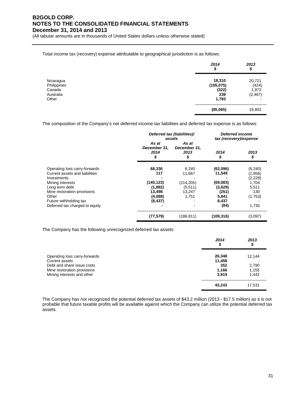(All tabular amounts are in thousands of United States dollars unless otherwise stated)

Total income tax (recovery) expense attributable to geographical jurisdiction is as follows:

|                                                          | 2014<br>\$                                    | 2013<br>\$                                |
|----------------------------------------------------------|-----------------------------------------------|-------------------------------------------|
| Nicaragua<br>Philippines<br>Canada<br>Australia<br>Other | 18,310<br>(105, 075)<br>(322)<br>239<br>1,783 | 20,721<br>(424)<br>1,972<br>(2, 467)<br>- |
|                                                          | (85,065)                                      | 19,802                                    |

The composition of the Company's net deferred income tax liabilities and deferred tax expense is as follows:

|                                                                                                                                                                                                                          | Deferred tax (liabilities)/<br>assets                                   |                                                             | Deferred income<br>tax (recovery)/expense                                    |                                                                             |
|--------------------------------------------------------------------------------------------------------------------------------------------------------------------------------------------------------------------------|-------------------------------------------------------------------------|-------------------------------------------------------------|------------------------------------------------------------------------------|-----------------------------------------------------------------------------|
|                                                                                                                                                                                                                          | As at<br>December 31,<br>2014<br>\$                                     | As at<br>December 31,<br>2013<br>\$                         | 2014<br>S                                                                    | 2013<br>\$                                                                  |
| Operating loss carry-forwards<br>Current assets and liabilities<br>Investments<br>Mining interests<br>Long term debt<br>Mine restoration provisions<br>Other<br>Future withholding tax<br>Deferred tax charged to equity | 68,336<br>117<br>(145, 123)<br>(1,882)<br>13,498<br>(4,088)<br>(8, 437) | 6,240<br>11,667<br>(214, 205)<br>(5,511)<br>13,247<br>1.751 | (62,096)<br>11,549<br>(69,083)<br>(3,629)<br>(251)<br>5,841<br>8,437<br>(84) | (6, 240)<br>(1,956)<br>(2,228)<br>1,704<br>5,511<br>130<br>(1,753)<br>1,735 |
|                                                                                                                                                                                                                          | (77, 579)                                                               | (186, 811)                                                  | (109, 316)                                                                   | (3,097)                                                                     |

The Company has the following unrecognized deferred tax assets:

|                               | 2014<br>\$ | 2013<br>\$ |
|-------------------------------|------------|------------|
| Operating loss carry-forwards | 26,348     | 12,144     |
| Current assets                | 11,458     |            |
| Debt and share issue costs    | 352        | 2,790      |
| Mine restoration provisions   | 1,166      | 1,155      |
| Mining interests and other    | 3,919      | 1,442      |
|                               | 43,243     | 17,531     |

The Company has not recognized the potential deferred tax assets of \$43.2 million (2013 - \$17.5 million) as it is not probable that future taxable profits will be available against which the Company can utilize the potential deferred tax assets.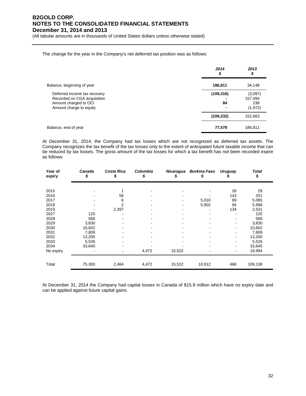(All tabular amounts are in thousands of United States dollars unless otherwise stated)

The change for the year in the Company's net deferred tax position was as follows:

|                                                                                                                 | 2014<br>\$       | 2013<br>\$                            |
|-----------------------------------------------------------------------------------------------------------------|------------------|---------------------------------------|
| Balance, beginning of year                                                                                      | 186,811          | 34,148                                |
| Deferred income tax recovery<br>Recorded on CGA acquisition<br>Amount charged to OCI<br>Amount charge to equity | (109, 316)<br>84 | (3,097)<br>157,494<br>238<br>(1, 972) |
|                                                                                                                 | (109, 232)       | 152,663                               |
| Balance, end of year                                                                                            | 77,579           | 186,811                               |

At December 31, 2014, the Company had tax losses which are not recognized as deferred tax assets. The Company recognizes the tax benefit of the tax losses only to the extent of anticipated future taxable income that can be reduced by tax losses. The gross amount of the tax losses for which a tax benefit has not been recorded expire as follows:

| Year of<br>expiry | Costa Rica<br>Canada<br>\$<br>\$ |       | Colombia<br>\$ | Nicaragua | <b>Burkina Faso</b><br>\$ | <b>Uruguay</b>           | Total<br>\$ |
|-------------------|----------------------------------|-------|----------------|-----------|---------------------------|--------------------------|-------------|
|                   |                                  |       |                |           |                           |                          |             |
| 2015              |                                  |       |                |           |                           | 28                       | 29          |
| 2016              |                                  | 58    |                |           |                           | 143                      | 201         |
| 2017              |                                  | 6     |                |           | 5,010                     | 69                       | 5,085       |
| 2018              |                                  |       |                |           | 5,902                     | 94                       | 5,998       |
| 2019              |                                  | 2,397 |                |           |                           | 134                      | 2,531       |
| 2027              | 125                              |       |                |           |                           | $\overline{\phantom{0}}$ | 125         |
| 2028              | 568                              |       |                |           |                           | $\blacksquare$           | 568         |
| 2029              | 3,830                            |       |                |           |                           | -                        | 3,830       |
| 2030              | 10,602                           |       |                |           |                           | ۰                        | 10,602      |
| 2031              | 7,809                            |       |                |           |                           | $\overline{\phantom{a}}$ | 7,809       |
| 2032              | 13,200                           |       |                |           |                           | $\overline{a}$           | 13,200      |
| 2033              | 5,526                            |       |                |           |                           | -                        | 5,526       |
| 2034              | 33,640                           |       |                |           |                           | $\blacksquare$           | 33,640      |
| No expiry         |                                  |       | 4,472          | 15,522    |                           | -                        | 19,994      |
| Total             | 75,300                           | 2,464 | 4,472          | 15,522    | 10,912                    | 468                      | 109,138     |
|                   |                                  |       |                |           |                           |                          |             |

At December 31, 2014 the Company had capital losses in Canada of \$15.9 million which have no expiry date and can be applied against future capital gains.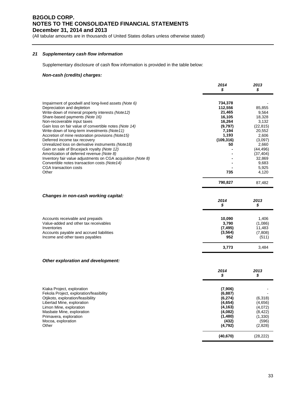(All tabular amounts are in thousands of United States dollars unless otherwise stated)

### *21 Supplementary cash flow information*

Supplementary disclosure of cash flow information is provided in the table below:

### *Non-cash (credits) charges:*

|                                                                                                                                                                                                                                                                                                                                                                                                                                                                                                                                                                                                                                                                                                                 | 2014<br>S                                                                                                | 2013<br>\$                                                                                                                                           |
|-----------------------------------------------------------------------------------------------------------------------------------------------------------------------------------------------------------------------------------------------------------------------------------------------------------------------------------------------------------------------------------------------------------------------------------------------------------------------------------------------------------------------------------------------------------------------------------------------------------------------------------------------------------------------------------------------------------------|----------------------------------------------------------------------------------------------------------|------------------------------------------------------------------------------------------------------------------------------------------------------|
| Impairment of goodwill and long-lived assets (Note 6)<br>Depreciation and depletion<br>Write-down of mineral property interests (Note 12)<br>Share-based payments (Note 16)<br>Non-recoverable input taxes<br>Gain loss on fair value of convertible notes (Note 14)<br>Write-down of long-term investments (Note11)<br>Accretion of mine restoration provisions (Note 15)<br>Deferred income tax recovery<br>Unrealized loss on derivative instruments (Note18)<br>Gain on sale of Brucejack royalty (Note 12)<br>Amortization of deferred revenue (Note 8)<br>Inventory fair value adjustments on CGA acquisition (Note 8)<br>Convertible notes transaction costs (Note 14)<br>CGA transaction costs<br>Other | 734,378<br>112,556<br>21,465<br>16,105<br>16,264<br>(9,797)<br>7,194<br>1,193<br>(109, 316)<br>50<br>735 | 85,855<br>9,564<br>18,328<br>3,132<br>(22, 815)<br>20,552<br>2.606<br>(3,097)<br>2,660<br>(44,496)<br>(37, 404)<br>32,869<br>9,683<br>5,925<br>4,120 |
|                                                                                                                                                                                                                                                                                                                                                                                                                                                                                                                                                                                                                                                                                                                 | 790,827                                                                                                  | 87,482                                                                                                                                               |

### *Changes in non-cash working capital:*

| Accounts receivable and prepaids         | 10.090   | 1.406   |
|------------------------------------------|----------|---------|
| Value-added and other tax receivables    | 3.790    | (1,086) |
| Inventories                              | (7.495)  | 11,483  |
| Accounts payable and accrued liabilities | (3, 564) | (7,808) |
| Income and other taxes payables          | 952      | (511)   |
|                                          | 3.773    | 3.484   |

*2014*

*2013*

### *Other exploration and development:*

|                                                                                                                                                                                                                                                           | 2014<br>\$                                                                                       | 2013<br>\$                                                                |
|-----------------------------------------------------------------------------------------------------------------------------------------------------------------------------------------------------------------------------------------------------------|--------------------------------------------------------------------------------------------------|---------------------------------------------------------------------------|
| Kiaka Project, exploration<br>Fekola Project, exploration/feasibility<br>Otjikoto, exploration/feasibility<br>Libertad Mine, exploration<br>Limon Mine, exploration<br>Masbate Mine, exploration<br>Primavera, exploration<br>Mocoa, exploration<br>Other | (7,906)<br>(6, 887)<br>(6,274)<br>(4,654)<br>(4, 163)<br>(4,082)<br>(1,480)<br>(432)<br>(4, 792) | (6,318)<br>(4,656)<br>(4,072)<br>(8, 422)<br>(1, 330)<br>(596)<br>(2,828) |
|                                                                                                                                                                                                                                                           | (40, 670)                                                                                        | (28, 222)                                                                 |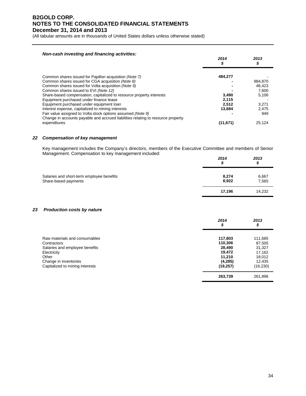(All tabular amounts are in thousands of United States dollars unless otherwise stated)

| Non-cash investing and financing activities:                                     |            |            |
|----------------------------------------------------------------------------------|------------|------------|
|                                                                                  | 2014<br>\$ | 2013<br>\$ |
| Common shares issued for Papillon acquisition (Note 7)                           | 484.277    |            |
| Common shares issued for CGA acquisition (Note 8)                                |            | 984,870    |
| Common shares issued for Volta acquisition (Note 9)                              |            | 46.423     |
| Common shares issued to EVI (Note 12)                                            |            | 7.600      |
| Share-based compensation, capitalized to resource property interests             | 3,490      | 5,106      |
| Equipment purchased under finance lease                                          | 2,115      |            |
| Equipment purchased under equipment loan                                         | 2,512      | 3.271      |
| Interest expense, capitalized to mining interests                                | 13.684     | 2.475      |
| Fair value assigned to Volta stock options assumed (Note 9)                      |            | 949        |
| Change in accounts payable and accrued liabilities relating to resource property |            |            |
| expenditures                                                                     | (11, 671)  | 25.124     |

### *22 Compensation of key management*

Key management includes the Company's directors, members of the Executive Committee and members of Senior Management. Compensation to key management included:

|                                                                   | 2014<br>S      | 2013<br>\$     |
|-------------------------------------------------------------------|----------------|----------------|
| Salaries and short-term employee benefits<br>Share-based payments | 8,274<br>8,922 | 6,667<br>7,565 |
|                                                                   | 17,196         | 14,232         |

### *23 Production costs by nature*

|                                                                                                                                                                    | 2014<br>\$                                                               | 2013<br>\$                                                             |
|--------------------------------------------------------------------------------------------------------------------------------------------------------------------|--------------------------------------------------------------------------|------------------------------------------------------------------------|
| Raw materials and consumables<br>Contractors<br>Salaries and employee benefits<br>Electricity<br>Other<br>Change in inventories<br>Capitalized to mining interests | 117,803<br>110,306<br>28,490<br>19,472<br>11,210<br>(4,285)<br>(19, 257) | 111,685<br>87,505<br>31,327<br>17,162<br>18,012<br>12,435<br>(16, 230) |
|                                                                                                                                                                    | 263,739                                                                  | 261,896                                                                |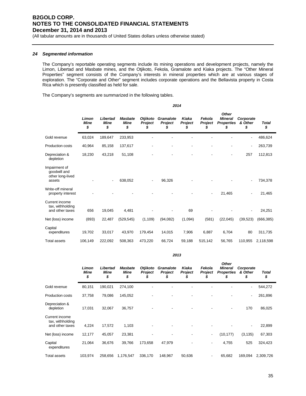(All tabular amounts are in thousands of United States dollars unless otherwise stated)

#### *24 Segmented information*

The Company's reportable operating segments include its mining operations and development projects, namely the Limon, Libertad and Masbate mines, and the Otjikoto, Fekola, Gramalote and Kiaka projects. The "Other Mineral Properties" segment consists of the Company's interests in mineral properties which are at various stages of exploration. The "Corporate and Other" segment includes corporate operations and the Bellavista property in Costa Rica which is presently classified as held for sale.

The Company's segments are summarized in the following tables.

|                                                             |                            |                               |                                     |                            | 2014                        |                              |                               |                                                          |                           |                    |
|-------------------------------------------------------------|----------------------------|-------------------------------|-------------------------------------|----------------------------|-----------------------------|------------------------------|-------------------------------|----------------------------------------------------------|---------------------------|--------------------|
|                                                             | Limon<br><b>Mine</b><br>\$ | Libertad<br><b>Mine</b><br>\$ | <b>Masbate</b><br><b>Mine</b><br>\$ | <b>Otjikoto</b><br>Project | <b>Gramalote</b><br>Project | Kiaka<br><b>Project</b><br>Ъ | Fekola<br><b>Project</b><br>S | <b>Other</b><br><b>Mineral</b><br><b>Properties</b><br>S | Corporate<br>& Other<br>S | <b>Total</b><br>\$ |
| Gold revenue                                                | 63,024                     | 189,647                       | 233,953                             |                            |                             |                              |                               |                                                          | $\overline{\phantom{a}}$  | 486,624            |
| Production costs                                            | 40,964                     | 85,158                        | 137,617                             | $\overline{a}$             | $\overline{\phantom{a}}$    |                              | $\overline{\phantom{0}}$      |                                                          | $\overline{\phantom{a}}$  | 263,739            |
| Depreciation &<br>depletion                                 | 18,230                     | 43,218                        | 51,108                              |                            |                             |                              |                               |                                                          | 257                       | 112,813            |
| Impairment of<br>goodwill and<br>other long-lived<br>assets |                            | $\overline{\phantom{a}}$      | 638,052                             |                            | 96,326                      |                              |                               |                                                          |                           | 734,378            |
| Write-off mineral<br>property interest                      |                            |                               |                                     |                            |                             |                              | $\overline{\phantom{0}}$      | 21,465                                                   |                           | 21,465             |
| Current income<br>tax, withholding<br>and other taxes       | 656                        | 19,045                        | 4,481                               |                            |                             | 69                           |                               |                                                          |                           | 24,251             |
| Net (loss) income                                           | (893)                      | 22,487                        | (529, 545)                          | (1, 109)                   | (94, 082)                   | (1,094)                      | (581)                         | (22, 045)                                                | (39, 523)                 | (666, 385)         |
| Capital<br>expenditures                                     | 19,702                     | 33,017                        | 43,970                              | 179,454                    | 14,015                      | 7,906                        | 6,887                         | 6,704                                                    | 80                        | 311,735            |
| <b>Total assets</b>                                         | 106,149                    | 222,092                       | 508,363                             | 473,220                    | 66,724                      | 59,188                       | 515,142                       | 56,765                                                   | 110,955                   | 2,118,598          |

*2013*

|                                                       | Limon<br>Mine<br>\$ | Libertad<br><b>Mine</b><br>\$ | <b>Masbate</b><br>Mine<br>\$ | <b>Otjikoto</b><br><b>Project</b> | <b>Gramalote</b><br><b>Project</b><br>D | Kiaka<br><b>Project</b> | Fekola<br><b>Project</b> | <b>Other</b><br><b>Mineral</b><br><b>Properties</b><br>\$ | Corporate<br>& Other<br>\$ | Total<br>\$ |
|-------------------------------------------------------|---------------------|-------------------------------|------------------------------|-----------------------------------|-----------------------------------------|-------------------------|--------------------------|-----------------------------------------------------------|----------------------------|-------------|
| Gold revenue                                          | 80,151              | 190,021                       | 274,100                      |                                   |                                         |                         |                          |                                                           | ۰                          | 544,272     |
| <b>Production costs</b>                               | 37,758              | 79,086                        | 145,052                      |                                   |                                         |                         |                          |                                                           | ۰                          | 261,896     |
| Depreciation &<br>depletion                           | 17,031              | 32,067                        | 36,757                       |                                   |                                         |                         |                          | ٠                                                         | 170                        | 86,025      |
| Current income<br>tax, withholding<br>and other taxes | 4,224               | 17,572                        | 1,103                        |                                   |                                         |                         |                          |                                                           | -                          | 22,899      |
| Net (loss) income                                     | 12,177              | 45,057                        | 23,381                       |                                   |                                         |                         | Ξ.                       | (10, 177)                                                 | (3, 135)                   | 67,303      |
| Capital<br>expenditures                               | 21,064              | 36,676                        | 39,766                       | 173,658                           | 47,979                                  |                         | ۰                        | 4,755                                                     | 525                        | 324,423     |
| <b>Total assets</b>                                   | 103,974             | 258.656                       | 1,176,547                    | 336,170                           | 148.967                                 | 50,636                  | ٠                        | 65,682                                                    | 169.094                    | 2,309,726   |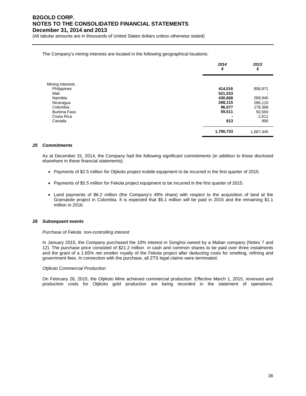(All tabular amounts are in thousands of United States dollars unless otherwise stated)

The Company's mining interests are located in the following geographical locations:

|                     | 2014<br>\$         | 2013<br>\$ |
|---------------------|--------------------|------------|
| Mining interests    |                    |            |
| Philippines         | 414,016            | 858,871    |
| Mali<br>Namibia     | 521,033<br>430,668 |            |
|                     |                    | 289,945    |
| Nicaragua           | 268,115            | 286,110    |
| Colombia            | 96,577             | 178,368    |
| <b>Burkina Faso</b> | 59,511             | 50,550     |
| Costa Rica          |                    | 2,611      |
| Canada              | 813                | 990        |
|                     | 1,790,733          | 1,667,445  |

#### *25 Commitments*

As at December 31, 2014, the Company had the following significant commitments (in addition to those disclosed elsewhere in these financial statements):

- Payments of \$2.5 million for Otjikoto project mobile equipment to be incurred in the first quarter of 2015.
- Payments of \$5.5 million for Fekola project equipment to be incurred in the first quarter of 2015.
- Land payments of \$6.2 million (the Company's 49% share) with respect to the acquisition of land at the Gramalote project in Colombia. It is expected that \$5.1 million will be paid in 2015 and the remaining \$1.1 million in 2016.

### *26 Subsequent events*

#### *Purchase of Fekola non-controlling interest*

In January 2015, the Company purchased the 10% interest in Songhoi owned by a Malian company (Notes 7 and 12). The purchase price consisted of \$21.2 million in cash and common shares to be paid over three instalments and the grant of a 1.65% net smelter royalty of the Fekola project after deducting costs for smelting, refining and government fees. In connection with the purchase, all ZTS legal claims were terminated.

#### *Otjikoto Commercial Production*

On February 28, 2015, the Otjikoto Mine achieved commercial production. Effective March 1, 2015, revenues and production costs for Otjikoto gold production are being recorded in the statement of operations.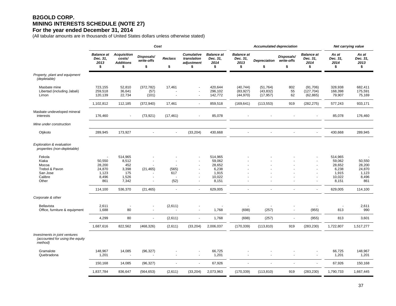## **B2GOLD CORP. MINING INTERESTS SCHEDULE (NOTE 27)**

### **For the year ended December 31, 2014**

(All tabular amounts are in thousands of United States dollars unless otherwise stated)

|                                                                             | Cost                                                |                                                           |                                |                          |                                                                                      |                                                                  | <b>Accumulated depreciation</b>             |                                     |                                |                                                 | Net carrying value                                               |                                                     |
|-----------------------------------------------------------------------------|-----------------------------------------------------|-----------------------------------------------------------|--------------------------------|--------------------------|--------------------------------------------------------------------------------------|------------------------------------------------------------------|---------------------------------------------|-------------------------------------|--------------------------------|-------------------------------------------------|------------------------------------------------------------------|-----------------------------------------------------|
|                                                                             | <b>Balance at</b><br>Dec. 31,<br>2013<br>\$         | <b>Acquisition</b><br>costs/<br><b>Additions</b><br>\$    | Disposals/<br>write-offs<br>\$ | Reclass<br>\$            | <b>Cumulative</b><br>translation<br>adjustment<br>\$                                 | <b>Balance</b> at<br>Dec. 31,<br>2014<br>\$                      | <b>Balance</b> at<br>Dec. 31,<br>2013<br>\$ | <b>Depreciation</b><br>\$           | Disposals/<br>write-offs<br>\$ | <b>Balance</b> at<br>Dec. 31,<br>2014<br>\$     | As at<br>Dec. 31,<br>2014<br>\$                                  | As at<br>Dec. 31,<br>2013<br>\$                     |
| Property, plant and equipment<br>(depletable)                               |                                                     |                                                           |                                |                          |                                                                                      |                                                                  |                                             |                                     |                                |                                                 |                                                                  |                                                     |
| Masbate mine<br>Libertad (including Jabali)<br>Limon                        | 723,155<br>259,518<br>120,139                       | 52,810<br>36,641<br>22,734                                | (372, 782)<br>(57)<br>(101)    | 17,461                   | ÷<br>$\blacksquare$<br>$\sim$                                                        | 420,644<br>296,102<br>142,772                                    | (40, 744)<br>(83, 927)<br>(44, 970)         | (51, 764)<br>(43, 832)<br>(17, 957) | 802<br>55<br>62                | (91,706)<br>(127, 704)<br>(62, 865)             | 328,938<br>168,398<br>79,907                                     | 682,411<br>175,591<br>75,169                        |
|                                                                             | 1,102,812                                           | 112,185                                                   | (372, 940)                     | 17,461                   | $\blacksquare$                                                                       | 859,518                                                          | (169, 641)                                  | (113, 553)                          | 919                            | (282, 275)                                      | 577,243                                                          | 933,171                                             |
| Masbate undeveloped mineral<br>interests                                    | 176,460                                             | $\blacksquare$                                            | (73, 921)                      | (17, 461)                | $\blacksquare$                                                                       | 85,078                                                           |                                             |                                     |                                | $\overline{\phantom{a}}$                        | 85,078                                                           | 176,460                                             |
| Mine under construction                                                     |                                                     |                                                           |                                |                          |                                                                                      |                                                                  |                                             |                                     |                                |                                                 |                                                                  |                                                     |
| Otjikoto                                                                    | 289,945                                             | 173,927                                                   | $\sim$                         | $\overline{\phantom{a}}$ | (33, 204)                                                                            | 430,668                                                          | $\sim$                                      |                                     | $\sim$                         | $\blacksquare$                                  | 430,668                                                          | 289,945                                             |
| Exploration & evaluation<br>properties (non-depletable)                     |                                                     |                                                           |                                |                          |                                                                                      |                                                                  |                                             |                                     |                                |                                                 |                                                                  |                                                     |
| Fekola<br>Kiaka<br>Mocoa<br>Trebol & Pavon<br>San Jose<br>Calibre<br>Other  | 50,550<br>28,200<br>24,870<br>1,123<br>8,496<br>861 | 514,965<br>8,512<br>452<br>3,398<br>175<br>1,526<br>7,342 | (21, 465)<br>٠                 | (565)<br>617<br>(52)     | ÷,<br>$\blacksquare$<br>$\overline{\phantom{a}}$<br>$\blacksquare$<br>$\blacksquare$ | 514,965<br>59,062<br>28,652<br>6,238<br>1,915<br>10,022<br>8,151 | $\overline{\phantom{a}}$                    |                                     |                                | $\overline{\phantom{a}}$<br>٠<br>$\blacksquare$ | 514,965<br>59,062<br>28,652<br>6,238<br>1,915<br>10,022<br>8,151 | 50,550<br>28,200<br>24,870<br>1,123<br>8,496<br>861 |
|                                                                             | 114,100                                             | 536,370                                                   | (21, 465)                      | $\overline{a}$           | $\tilde{\phantom{a}}$                                                                | 629,005                                                          | $\overline{\phantom{a}}$                    |                                     | $\overline{a}$                 | $\overline{a}$                                  | 629,005                                                          | 114,100                                             |
| Corporate & other                                                           |                                                     |                                                           |                                |                          |                                                                                      |                                                                  |                                             |                                     |                                |                                                 |                                                                  |                                                     |
| Bellavista<br>Office, furniture & equipment                                 | 2,611<br>1,688                                      | $\blacksquare$<br>80                                      | $\blacksquare$<br>$\sim$       | (2,611)                  | $\overline{\phantom{a}}$<br>$\blacksquare$                                           | 1,768                                                            | (698)                                       | (257)                               | $\sim$                         | (955)                                           | 813                                                              | 2,611<br>990                                        |
|                                                                             | 4,299                                               | 80                                                        | $\blacksquare$                 | (2,611)                  | $\blacksquare$                                                                       | 1,768                                                            | (698)                                       | (257)                               | $\sim$                         | (955)                                           | 813                                                              | 3,601                                               |
|                                                                             | 1,687,616                                           | 822,562                                                   | (468, 326)                     | (2,611)                  | (33, 204)                                                                            | 2,006,037                                                        | (170, 339)                                  | (113, 810)                          | 919                            | (283, 230)                                      | 1,722,807                                                        | 1,517,277                                           |
| Investments in joint ventures<br>(accounted for using the equity<br>method) |                                                     |                                                           |                                |                          |                                                                                      |                                                                  |                                             |                                     |                                |                                                 |                                                                  |                                                     |
| Gramalote<br>Quebradona                                                     | 148,967<br>1,201                                    | 14,085<br>$\sim$                                          | (96, 327)                      |                          | $\blacksquare$<br>$\tilde{\phantom{a}}$                                              | 66,725<br>1,201                                                  |                                             |                                     |                                | $\overline{\phantom{a}}$<br>$\blacksquare$      | 66,725<br>1,201                                                  | 148,967<br>1,201                                    |
|                                                                             | 150,168                                             | 14,085                                                    | (96, 327)                      | $\sim$                   | $\blacksquare$                                                                       | 67,926                                                           | $\overline{\phantom{a}}$                    | $\sim$                              | ÷.                             | $\sim$                                          | 67,926                                                           | 150,168                                             |
|                                                                             | 1,837,784                                           | 836,647                                                   | (564, 653)                     | (2,611)                  | (33, 204)                                                                            | 2,073,963                                                        | (170, 339)                                  | (113, 810)                          | 919                            | (283, 230)                                      | 1,790,733                                                        | 1,667,445                                           |